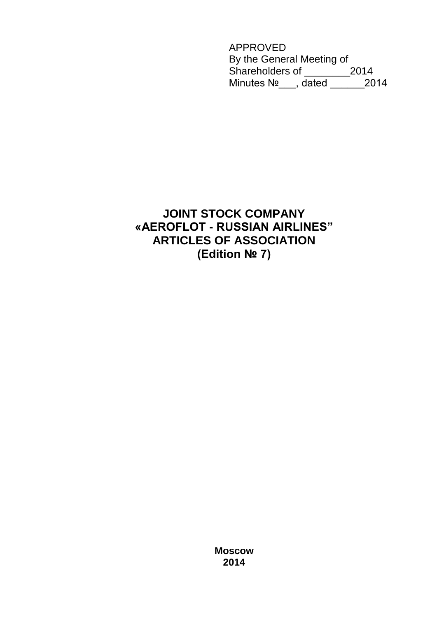APPROVED By the General Meeting of Shareholders of \_\_\_\_\_\_\_\_2014 Minutes №\_\_\_, dated \_\_\_\_\_\_2014

# **JOINT STOCK COMPANY «AEROFLOT - RUSSIAN AIRLINES" ARTICLES OF ASSOCIATION (Edition № 7)**

**Moscow 2014**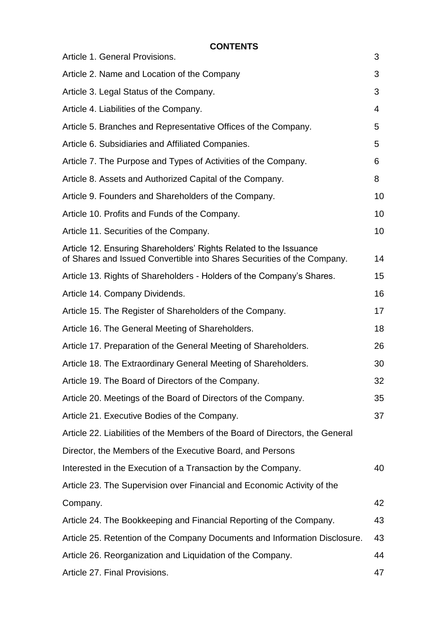**CONTENTS**

| Article 1. General Provisions.                                                                                                               | 3  |
|----------------------------------------------------------------------------------------------------------------------------------------------|----|
| Article 2. Name and Location of the Company                                                                                                  | 3  |
| Article 3. Legal Status of the Company.                                                                                                      | 3  |
| Article 4. Liabilities of the Company.                                                                                                       | 4  |
| Article 5. Branches and Representative Offices of the Company.                                                                               | 5  |
| Article 6. Subsidiaries and Affiliated Companies.                                                                                            | 5  |
| Article 7. The Purpose and Types of Activities of the Company.                                                                               | 6  |
| Article 8. Assets and Authorized Capital of the Company.                                                                                     | 8  |
| Article 9. Founders and Shareholders of the Company.                                                                                         | 10 |
| Article 10. Profits and Funds of the Company.                                                                                                | 10 |
| Article 11. Securities of the Company.                                                                                                       | 10 |
| Article 12. Ensuring Shareholders' Rights Related to the Issuance<br>of Shares and Issued Convertible into Shares Securities of the Company. | 14 |
| Article 13. Rights of Shareholders - Holders of the Company's Shares.                                                                        | 15 |
| Article 14. Company Dividends.                                                                                                               | 16 |
| Article 15. The Register of Shareholders of the Company.                                                                                     | 17 |
| Article 16. The General Meeting of Shareholders.                                                                                             | 18 |
| Article 17. Preparation of the General Meeting of Shareholders.                                                                              | 26 |
| Article 18. The Extraordinary General Meeting of Shareholders.                                                                               | 30 |
| Article 19. The Board of Directors of the Company.                                                                                           | 32 |
| Article 20. Meetings of the Board of Directors of the Company.                                                                               | 35 |
| Article 21. Executive Bodies of the Company.                                                                                                 | 37 |
| Article 22. Liabilities of the Members of the Board of Directors, the General                                                                |    |
| Director, the Members of the Executive Board, and Persons                                                                                    |    |
| Interested in the Execution of a Transaction by the Company.                                                                                 | 40 |
| Article 23. The Supervision over Financial and Economic Activity of the                                                                      |    |
| Company.                                                                                                                                     | 42 |
| Article 24. The Bookkeeping and Financial Reporting of the Company.                                                                          | 43 |
| Article 25. Retention of the Company Documents and Information Disclosure.                                                                   | 43 |
| Article 26. Reorganization and Liquidation of the Company.                                                                                   | 44 |
| Article 27. Final Provisions.                                                                                                                | 47 |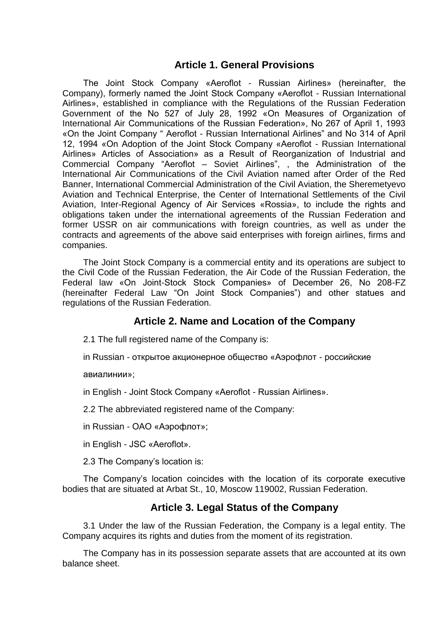# **Article 1. General Provisions**

The Joint Stock Company «Aeroflot - Russian Airlines» (hereinafter, the Company), formerly named the Joint Stock Company «Aeroflot - Russian International Airlines», established in compliance with the Regulations of the Russian Federation Government of the No 527 of July 28, 1992 «On Measures of Organization of International Air Communications of the Russian Federation», No 267 of April 1, 1993 «On the Joint Company " Aeroflot - Russian International Airlines" and No 314 of April 12, 1994 «On Adoption of the Joint Stock Company «Aeroflot - Russian International Airlines» Articles of Association» as a Result of Reorganization of Industrial and Commercial Company "Aeroflot – Soviet Airlines", , the Administration of the International Air Communications of the Civil Aviation named after Order of the Red Banner, International Commercial Administration of the Civil Aviation, the Sheremetyevo Aviation and Technical Enterprise, the Center of International Settlements of the Civil Aviation, Inter-Regional Agency of Air Services «Rossia», to include the rights and obligations taken under the international agreements of the Russian Federation and former USSR on air communications with foreign countries, as well as under the contracts and agreements of the above said enterprises with foreign airlines, firms and companies.

The Joint Stock Company is a commercial entity and its operations are subject to the Civil Code of the Russian Federation, the Air Code of the Russian Federation, the Federal law «On Joint-Stock Stock Companies» of December 26, No 208-FZ (hereinafter Federal Law "On Joint Stock Companies") and other statues and regulations of the Russian Federation.

# **Article 2. Name and Location of the Company**

2.1 The full registered name of the Company is:

in Russian - открытое акционерное общество «Аэрофлот - российские

авиалинии»;

in English - Joint Stock Company «Aeroflot - Russian Airlines».

2.2 The abbreviated registered name of the Company:

in Russian - ОАО «Аэрофлот»;

in English - JSC «Aeroflot».

2.3 The Company's location is:

The Company's location coincides with the location of its corporate executive bodies that are situated at Arbat St., 10, Moscow 119002, Russian Federation.

# **Article 3. Legal Status of the Company**

3.1 Under the law of the Russian Federation, the Company is a legal entity. The Company acquires its rights and duties from the moment of its registration.

The Company has in its possession separate assets that are accounted at its own balance sheet.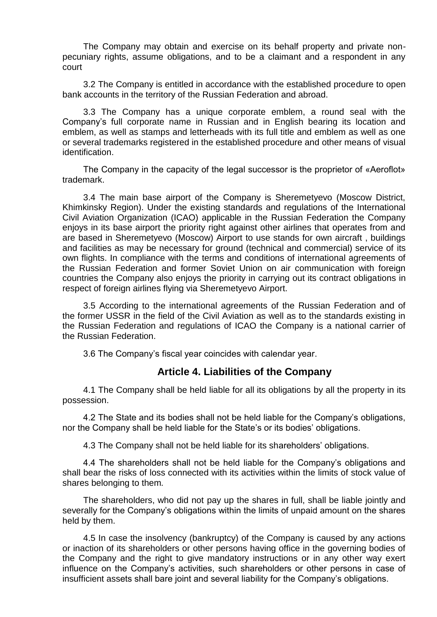The Company may obtain and exercise on its behalf property and private nonpecuniary rights, assume obligations, and to be a claimant and a respondent in any court

3.2 The Company is entitled in accordance with the established procedure to open bank accounts in the territory of the Russian Federation and abroad.

3.3 The Company has a unique corporate emblem, a round seal with the Company's full corporate name in Russian and in English bearing its location and emblem, as well as stamps and letterheads with its full title and emblem as well as one or several trademarks registered in the established procedure and other means of visual identification.

The Company in the capacity of the legal successor is the proprietor of «Aeroflot» trademark.

3.4 The main base airport of the Company is Sheremetyevo (Moscow District, Khimkinsky Region). Under the existing standards and regulations of the International Civil Aviation Organization (ICAO) applicable in the Russian Federation the Company enjoys in its base airport the priority right against other airlines that operates from and are based in Sheremetyevo (Moscow) Airport to use stands for own aircraft , buildings and facilities as may be necessary for ground (technical and commercial) service of its own flights. In compliance with the terms and conditions of international agreements of the Russian Federation and former Soviet Union on air communication with foreign countries the Company also enjoys the priority in carrying out its contract obligations in respect of foreign airlines flying via Sheremetyevo Airport.

3.5 According to the international agreements of the Russian Federation and of the former USSR in the field of the Civil Aviation as well as to the standards existing in the Russian Federation and regulations of ICAO the Company is a national carrier of the Russian Federation.

3.6 The Company's fiscal year coincides with calendar year.

#### **Article 4. Liabilities of the Company**

4.1 The Company shall be held liable for all its obligations by all the property in its possession.

4.2 The State and its bodies shall not be held liable for the Company's obligations, nor the Company shall be held liable for the State's or its bodies' obligations.

4.3 The Company shall not be held liable for its shareholders' obligations.

4.4 The shareholders shall not be held liable for the Company's obligations and shall bear the risks of loss connected with its activities within the limits of stock value of shares belonging to them*.*

The shareholders, who did not pay up the shares in full, shall be liable jointly and severally for the Company's obligations within the limits of unpaid amount on the shares held by them.

4.5 In case the insolvency (bankruptcy) of the Company is caused by any actions or inaction of its shareholders or other persons having office in the governing bodies of the Company and the right to give mandatory instructions or in any other way exert influence on the Company's activities, such shareholders or other persons in case of insufficient assets shall bare joint and several liability for the Company's obligations.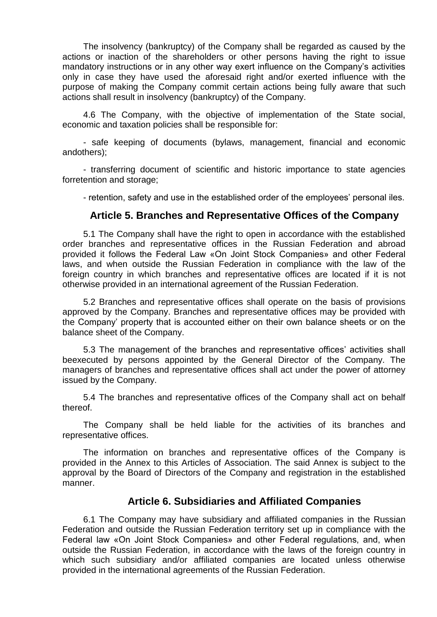The insolvency (bankruptcy) of the Company shall be regarded as caused by the actions or inaction of the shareholders or other persons having the right to issue mandatory instructions or in any other way exert influence on the Company's activities only in case they have used the aforesaid right and/or exerted influence with the purpose of making the Company commit certain actions being fully aware that such actions shall result in insolvency (bankruptcy) of the Company.

4.6 The Company, with the objective of implementation of the State social, economic and taxation policies shall be responsible for:

- safe keeping of documents (bylaws, management, financial and economic andothers);

- transferring document of scientific and historic importance to state agencies forretention and storage;

- retention, safety and use in the established order of the employees' personal iles.

#### **Article 5. Branches and Representative Offices of the Company**

5.1 The Company shall have the right to open in accordance with the established order branches and representative offices in the Russian Federation and abroad provided it follows the Federal Law «On Joint Stock Companies» and other Federal laws, and when outside the Russian Federation in compliance with the law of the foreign country in which branches and representative offices are located if it is not otherwise provided in an international agreement of the Russian Federation.

5.2 Branches and representative offices shall operate on the basis of provisions approved by the Company. Branches and representative offices may be provided with the Company' property that is accounted either on their own balance sheets or on the balance sheet of the Company.

5.3 The management of the branches and representative offices' activities shall beexecuted by persons appointed by the General Director of the Company. The managers of branches and representative offices shall act under the power of attorney issued by the Company.

5.4 The branches and representative offices of the Company shall act on behalf thereof.

The Company shall be held liable for the activities of its branches and representative offices.

The information on branches and representative offices of the Company is provided in the Annex to this Articles of Association. The said Annex is subject to the approval by the Board of Directors of the Company and registration in the established manner.

#### **Article 6. Subsidiaries and Affiliated Companies**

6.1 The Company may have subsidiary and affiliated companies in the Russian Federation and outside the Russian Federation territory set up in compliance with the Federal law «On Joint Stock Companies» and other Federal regulations, and, when outside the Russian Federation, in accordance with the laws of the foreign country in which such subsidiary and/or affiliated companies are located unless otherwise provided in the international agreements of the Russian Federation.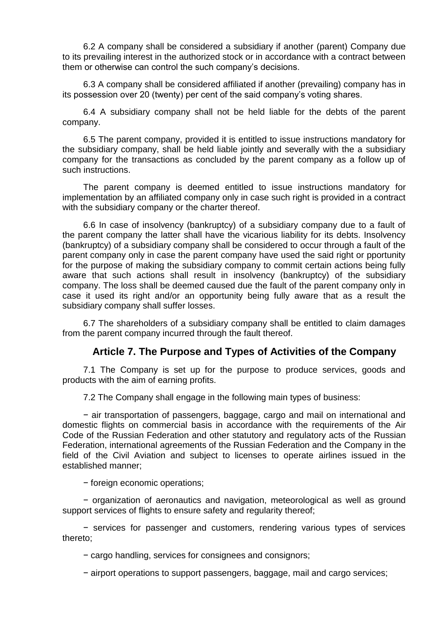6.2 A company shall be considered a subsidiary if another (parent) Company due to its prevailing interest in the authorized stock or in accordance with a contract between them or otherwise can control the such company's decisions.

6.3 A company shall be considered affiliated if another (prevailing) company has in its possession over 20 (twenty) per cent of the said company's voting shares.

6.4 A subsidiary company shall not be held liable for the debts of the parent company.

6.5 The parent company, provided it is entitled to issue instructions mandatory for the subsidiary company, shall be held liable jointly and severally with the a subsidiary company for the transactions as concluded by the parent company as a follow up of such instructions.

The parent company is deemed entitled to issue instructions mandatory for implementation by an affiliated company only in case such right is provided in a contract with the subsidiary company or the charter thereof.

6.6 In case of insolvency (bankruptcy) of a subsidiary company due to a fault of the parent company the latter shall have the vicarious liability for its debts. Insolvency (bankruptcy) of a subsidiary company shall be considered to occur through a fault of the parent company only in case the parent company have used the said right or pportunity for the purpose of making the subsidiary company to commit certain actions being fully aware that such actions shall result in insolvency (bankruptcy) of the subsidiary company. The loss shall be deemed caused due the fault of the parent company only in case it used its right and/or an opportunity being fully aware that as a result the subsidiary company shall suffer losses.

6.7 The shareholders of a subsidiary company shall be entitled to claim damages from the parent company incurred through the fault thereof.

# **Article 7. The Purpose and Types of Activities of the Company**

7.1 The Company is set up for the purpose to produce services, goods and products with the aim of earning profits.

7.2 The Company shall engage in the following main types of business:

− air transportation of passengers, baggage, cargo and mail on international and domestic flights on commercial basis in accordance with the requirements of the Air Code of the Russian Federation and other statutory and regulatory acts of the Russian Federation, international agreements of the Russian Federation and the Company in the field of the Civil Aviation and subject to licenses to operate airlines issued in the established manner;

− foreign economic operations;

− organization of aeronautics and navigation, meteorological as well as ground support services of flights to ensure safety and regularity thereof;

− services for passenger and customers, rendering various types of services thereto;

− cargo handling, services for consignees and consignors;

− airport operations to support passengers, baggage, mail and cargo services;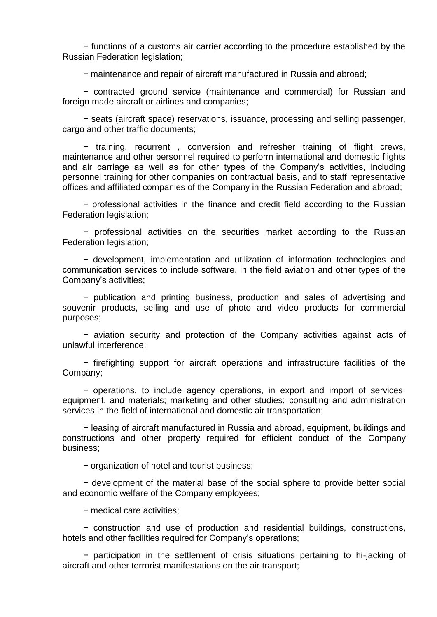− functions of a customs air carrier according to the procedure established by the Russian Federation legislation;

− maintenance and repair of aircraft manufactured in Russia and abroad;

− contracted ground service (maintenance and commercial) for Russian and foreign made aircraft or airlines and companies;

− seats (aircraft space) reservations, issuance, processing and selling passenger, cargo and other traffic documents;

− training, recurrent , conversion and refresher training of flight crews, maintenance and other personnel required to perform international and domestic flights and air carriage as well as for other types of the Company's activities, including personnel training for other companies on contractual basis, and to staff representative offices and affiliated companies of the Company in the Russian Federation and abroad;

− professional activities in the finance and credit field according to the Russian Federation legislation;

− professional activities on the securities market according to the Russian Federation legislation;

− development, implementation and utilization of information technologies and communication services to include software, in the field aviation and other types of the Company's activities;

− publication and printing business, production and sales of advertising and souvenir products, selling and use of photo and video products for commercial purposes;

− aviation security and protection of the Company activities against acts of unlawful interference;

− firefighting support for aircraft operations and infrastructure facilities of the Company;

− operations, to include agency operations, in export and import of services, equipment, and materials; marketing and other studies; consulting and administration services in the field of international and domestic air transportation;

− leasing of aircraft manufactured in Russia and abroad, equipment, buildings and constructions and other property required for efficient conduct of the Company business;

− organization of hotel and tourist business;

− development of the material base of the social sphere to provide better social and economic welfare of the Company employees;

− medical care activities;

− construction and use of production and residential buildings, constructions, hotels and other facilities required for Company's operations;

− participation in the settlement of crisis situations pertaining to hi-jacking of aircraft and other terrorist manifestations on the air transport;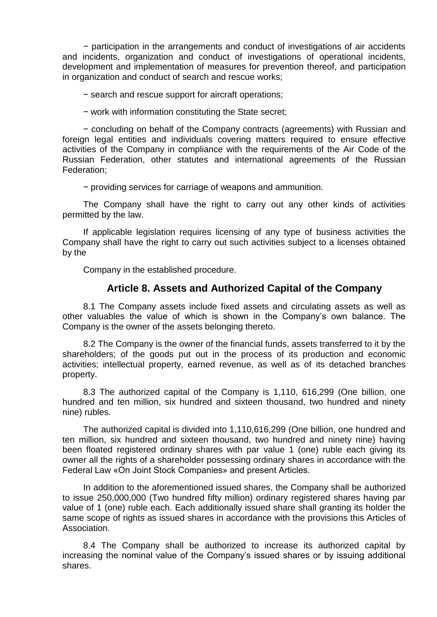− participation in the arrangements and conduct of investigations of air accidents and incidents, organization and conduct of investigations of operational incidents, development and implementation of measures for prevention thereof, and participation in organization and conduct of search and rescue works;

− search and rescue support for aircraft operations;

− work with information constituting the State secret;

− concluding on behalf of the Company contracts (agreements) with Russian and foreign legal entities and individuals covering matters required to ensure effective activities of the Company in compliance with the requirements of the Air Code of the Russian Federation, other statutes and international agreements of the Russian Federation;

− providing services for carriage of weapons and ammunition.

The Company shall have the right to carry out any other kinds of activities permitted by the law.

If applicable legislation requires licensing of any type of business activities the Company shall have the right to carry out such activities subject to a licenses obtained by the

Company in the established procedure.

#### **Article 8. Assets and Authorized Capital of the Company**

8.1 The Company assets include fixed assets and circulating assets as well as other valuables the value of which is shown in the Company's own balance. The Company is the owner of the assets belonging thereto.

8.2 The Company is the owner of the financial funds, assets transferred to it by the shareholders; of the goods put out in the process of its production and economic activities; intellectual property, earned revenue, as well as of its detached branches property.

8.3 The authorized capital of the Company is 1,110, 616,299 (One billion, one hundred and ten million, six hundred and sixteen thousand, two hundred and ninety nine) rubles.

The authorized capital is divided into 1,110,616,299 (One billion, one hundred and ten million, six hundred and sixteen thousand, two hundred and ninety nine) having been floated registered ordinary shares with par value 1 (one) ruble each giving its owner all the rights of a shareholder possessing ordinary shares in accordance with the Federal Law «On Joint Stock Companies» and present Articles.

In addition to the aforementioned issued shares, the Company shall be authorized to issue 250,000,000 (Two hundred fifty million) ordinary registered shares having par value of 1 (one) ruble each. Each additionally issued share shall granting its holder the same scope of rights as issued shares in accordance with the provisions this Articles of Association.

8.4 The Company shall be authorized to increase its authorized capital by increasing the nominal value of the Company's issued shares or by issuing additional shares.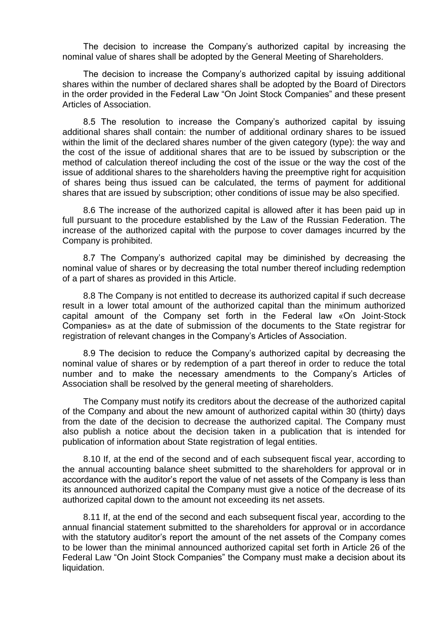The decision to increase the Company's authorized capital by increasing the nominal value of shares shall be adopted by the General Meeting of Shareholders.

The decision to increase the Company's authorized capital by issuing additional shares within the number of declared shares shall be adopted by the Board of Directors in the order provided in the Federal Law "On Joint Stock Companies" and these present Articles of Association.

8.5 The resolution to increase the Company's authorized capital by issuing additional shares shall contain: the number of additional ordinary shares to be issued within the limit of the declared shares number of the given category (type): the way and the cost of the issue of additional shares that are to be issued by subscription or the method of calculation thereof including the cost of the issue or the way the cost of the issue of additional shares to the shareholders having the preemptive right for acquisition of shares being thus issued can be calculated, the terms of payment for additional shares that are issued by subscription; other conditions of issue may be also specified.

8.6 The increase of the authorized capital is allowed after it has been paid up in full pursuant to the procedure established by the Law of the Russian Federation. The increase of the authorized capital with the purpose to cover damages incurred by the Company is prohibited.

8.7 The Company's authorized capital may be diminished by decreasing the nominal value of shares or by decreasing the total number thereof including redemption of a part of shares as provided in this Article.

8.8 The Company is not entitled to decrease its authorized capital if such decrease result in a lower total amount of the authorized capital than the minimum authorized capital amount of the Company set forth in the Federal law «On Joint-Stock Companies» as at the date of submission of the documents to the State registrar for registration of relevant changes in the Company's Articles of Association.

8.9 The decision to reduce the Company's authorized capital by decreasing the nominal value of shares or by redemption of a part thereof in order to reduce the total number and to make the necessary amendments to the Company's Articles of Association shall be resolved by the general meeting of shareholders.

The Company must notify its creditors about the decrease of the authorized capital of the Company and about the new amount of authorized capital within 30 (thirty) days from the date of the decision to decrease the authorized capital. The Company must also publish a notice about the decision taken in a publication that is intended for publication of information about State registration of legal entities.

8.10 If, at the end of the second and of each subsequent fiscal year, according to the annual accounting balance sheet submitted to the shareholders for approval or in accordance with the auditor's report the value of net assets of the Company is less than its announced authorized capital the Company must give a notice of the decrease of its authorized capital down to the amount not exceeding its net assets.

8.11 If, at the end of the second and each subsequent fiscal year, according to the annual financial statement submitted to the shareholders for approval or in accordance with the statutory auditor's report the amount of the net assets of the Company comes to be lower than the minimal announced authorized capital set forth in Article 26 of the Federal Law "On Joint Stock Companies" the Company must make a decision about its liquidation.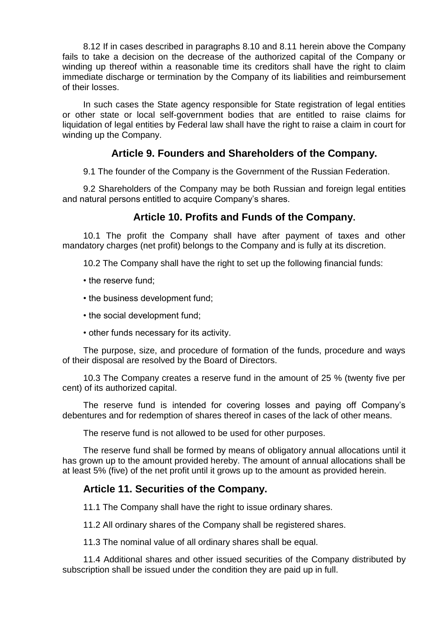8.12 If in cases described in paragraphs 8.10 and 8.11 herein above the Company fails to take a decision on the decrease of the authorized capital of the Company or winding up thereof within a reasonable time its creditors shall have the right to claim immediate discharge or termination by the Company of its liabilities and reimbursement of their losses.

In such cases the State agency responsible for State registration of legal entities or other state or local self-government bodies that are entitled to raise claims for liquidation of legal entities by Federal law shall have the right to raise a claim in court for winding up the Company.

#### **Article 9. Founders and Shareholders of the Company.**

9.1 The founder of the Company is the Government of the Russian Federation.

9.2 Shareholders of the Company may be both Russian and foreign legal entities and natural persons entitled to acquire Company's shares.

# **Article 10. Profits and Funds of the Company.**

10.1 The profit the Company shall have after payment of taxes and other mandatory charges (net profit) belongs to the Company and is fully at its discretion.

10.2 The Company shall have the right to set up the following financial funds:

- the reserve fund;
- the business development fund;
- the social development fund;
- other funds necessary for its activity.

The purpose, size, and procedure of formation of the funds, procedure and ways of their disposal are resolved by the Board of Directors.

10.3 The Company creates a reserve fund in the amount of 25 % (twenty five per cent) of its authorized capital.

The reserve fund is intended for covering losses and paying off Company's debentures and for redemption of shares thereof in cases of the lack of other means.

The reserve fund is not allowed to be used for other purposes.

The reserve fund shall be formed by means of obligatory annual allocations until it has grown up to the amount provided hereby. The amount of annual allocations shall be at least 5% (five) of the net profit until it grows up to the amount as provided herein.

# **Article 11. Securities of the Company.**

11.1 The Company shall have the right to issue ordinary shares.

11.2 All ordinary shares of the Company shall be registered shares.

11.3 The nominal value of all ordinary shares shall be equal.

11.4 Additional shares and other issued securities of the Company distributed by subscription shall be issued under the condition they are paid up in full.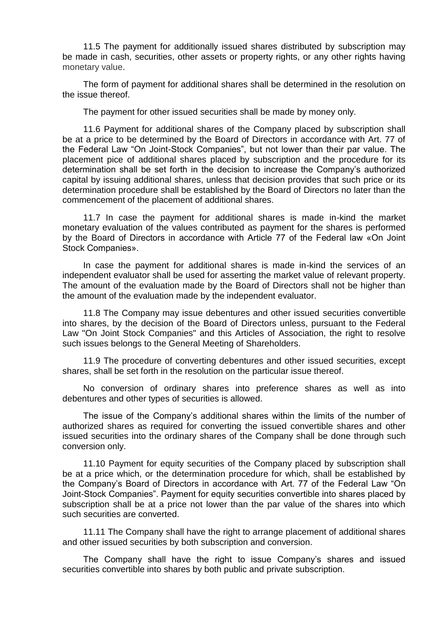11.5 The payment for additionally issued shares distributed by subscription may be made in cash, securities, other assets or property rights, or any other rights having monetary value.

The form of payment for additional shares shall be determined in the resolution on the issue thereof.

The payment for other issued securities shall be made by money only.

11.6 Payment for additional shares of the Company placed by subscription shall be at a price to be determined by the Board of Directors in accordance with Art. 77 of the Federal Law "On Joint-Stock Companies", but not lower than their par value. The placement pice of additional shares placed by subscription and the procedure for its determination shall be set forth in the decision to increase the Company's authorized capital by issuing additional shares, unless that decision provides that such price or its determination procedure shall be established by the Board of Directors no later than the commencement of the placement of additional shares.

11.7 In case the payment for additional shares is made in-kind the market monetary evaluation of the values contributed as payment for the shares is performed by the Board of Directors in accordance with Article 77 of the Federal law «On Joint Stock Companies».

In case the payment for additional shares is made in-kind the services of an independent evaluator shall be used for asserting the market value of relevant property. The amount of the evaluation made by the Board of Directors shall not be higher than the amount of the evaluation made by the independent evaluator.

11.8 The Company may issue debentures and other issued securities convertible into shares, by the decision of the Board of Directors unless, pursuant to the Federal Law "On Joint Stock Companies" and this Articles of Association, the right to resolve such issues belongs to the General Meeting of Shareholders.

11.9 The procedure of converting debentures and other issued securities, except shares, shall be set forth in the resolution on the particular issue thereof.

No conversion of ordinary shares into preference shares as well as into debentures and other types of securities is allowed.

The issue of the Company's additional shares within the limits of the number of authorized shares as required for converting the issued convertible shares and other issued securities into the ordinary shares of the Company shall be done through such conversion only.

11.10 Payment for equity securities of the Company placed by subscription shall be at a price which, or the determination procedure for which, shall be established by the Company's Board of Directors in accordance with Art. 77 of the Federal Law "On Joint-Stock Companies". Payment for equity securities convertible into shares placed by subscription shall be at a price not lower than the par value of the shares into which such securities are converted.

11.11 The Company shall have the right to arrange placement of additional shares and other issued securities by both subscription and conversion.

The Company shall have the right to issue Company's shares and issued securities convertible into shares by both public and private subscription.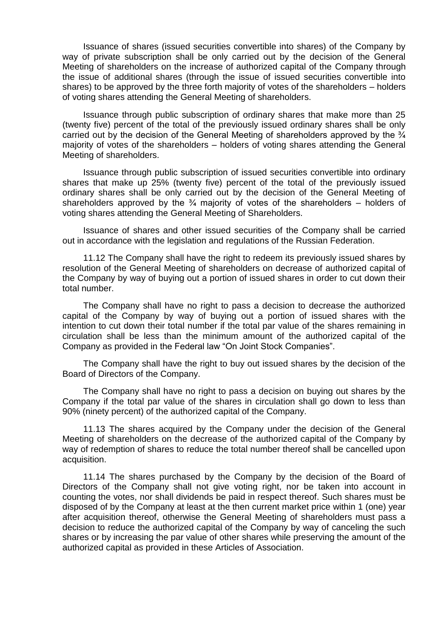Issuance of shares (issued securities convertible into shares) of the Company by way of private subscription shall be only carried out by the decision of the General Meeting of shareholders on the increase of authorized capital of the Company through the issue of additional shares (through the issue of issued securities convertible into shares) to be approved by the three forth majority of votes of the shareholders – holders of voting shares attending the General Meeting of shareholders.

Issuance through public subscription of ordinary shares that make more than 25 (twenty five) percent of the total of the previously issued ordinary shares shall be only carried out by the decision of the General Meeting of shareholders approved by the  $\frac{3}{4}$ majority of votes of the shareholders – holders of voting shares attending the General Meeting of shareholders.

Issuance through public subscription of issued securities convertible into ordinary shares that make up 25% (twenty five) percent of the total of the previously issued ordinary shares shall be only carried out by the decision of the General Meeting of shareholders approved by the  $\frac{3}{4}$  majority of votes of the shareholders – holders of voting shares attending the General Meeting of Shareholders.

Issuance of shares and other issued securities of the Company shall be carried out in accordance with the legislation and regulations of the Russian Federation.

11.12 The Company shall have the right to redeem its previously issued shares by resolution of the General Meeting of shareholders on decrease of authorized capital of the Company by way of buying out a portion of issued shares in order to cut down their total number.

The Company shall have no right to pass a decision to decrease the authorized capital of the Company by way of buying out a portion of issued shares with the intention to cut down their total number if the total par value of the shares remaining in circulation shall be less than the minimum amount of the authorized capital of the Company as provided in the Federal law "On Joint Stock Companies".

The Company shall have the right to buy out issued shares by the decision of the Board of Directors of the Company.

The Company shall have no right to pass a decision on buying out shares by the Company if the total par value of the shares in circulation shall go down to less than 90% (ninety percent) of the authorized capital of the Company.

11.13 The shares acquired by the Company under the decision of the General Meeting of shareholders on the decrease of the authorized capital of the Company by way of redemption of shares to reduce the total number thereof shall be cancelled upon acquisition.

11.14 The shares purchased by the Company by the decision of the Board of Directors of the Company shall not give voting right, nor be taken into account in counting the votes, nor shall dividends be paid in respect thereof. Such shares must be disposed of by the Company at least at the then current market price within 1 (one) year after acquisition thereof, otherwise the General Meeting of shareholders must pass a decision to reduce the authorized capital of the Company by way of canceling the such shares or by increasing the par value of other shares while preserving the amount of the authorized capital as provided in these Articles of Association.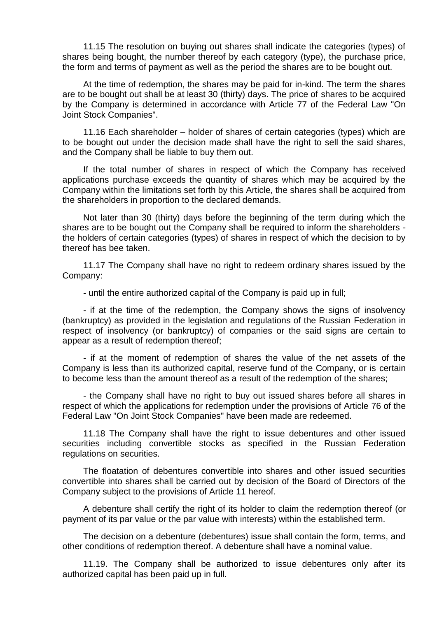11.15 The resolution on buying out shares shall indicate the categories (types) of shares being bought, the number thereof by each category (type), the purchase price, the form and terms of payment as well as the period the shares are to be bought out.

At the time of redemption, the shares may be paid for in-kind. The term the shares are to be bought out shall be at least 30 (thirty) days. The price of shares to be acquired by the Company is determined in accordance with Article 77 of the Federal Law "On Joint Stock Companies".

11.16 Each shareholder – holder of shares of certain categories (types) which are to be bought out under the decision made shall have the right to sell the said shares, and the Company shall be liable to buy them out.

If the total number of shares in respect of which the Company has received applications purchase exceeds the quantity of shares which may be acquired by the Company within the limitations set forth by this Article, the shares shall be acquired from the shareholders in proportion to the declared demands.

Not later than 30 (thirty) days before the beginning of the term during which the shares are to be bought out the Company shall be required to inform the shareholders the holders of certain categories (types) of shares in respect of which the decision to by thereof has bee taken.

11.17 The Company shall have no right to redeem ordinary shares issued by the Company:

- until the entire authorized capital of the Company is paid up in full;

- if at the time of the redemption, the Company shows the signs of insolvency (bankruptcy) as provided in the legislation and regulations of the Russian Federation in respect of insolvency (or bankruptcy) of companies or the said signs are certain to appear as a result of redemption thereof;

- if at the moment of redemption of shares the value of the net assets of the Company is less than its authorized capital, reserve fund of the Company, or is certain to become less than the amount thereof as a result of the redemption of the shares;

- the Company shall have no right to buy out issued shares before all shares in respect of which the applications for redemption under the provisions of Article 76 of the Federal Law "On Joint Stock Companies" have been made are redeemed.

11.18 The Company shall have the right to issue debentures and other issued securities including convertible stocks as specified in the Russian Federation regulations on securities.

The floatation of debentures convertible into shares and other issued securities convertible into shares shall be carried out by decision of the Board of Directors of the Company subject to the provisions of Article 11 hereof.

A debenture shall certify the right of its holder to claim the redemption thereof (or payment of its par value or the par value with interests) within the established term.

The decision on a debenture (debentures) issue shall contain the form, terms, and other conditions of redemption thereof. A debenture shall have a nominal value.

11.19. The Company shall be authorized to issue debentures only after its authorized capital has been paid up in full.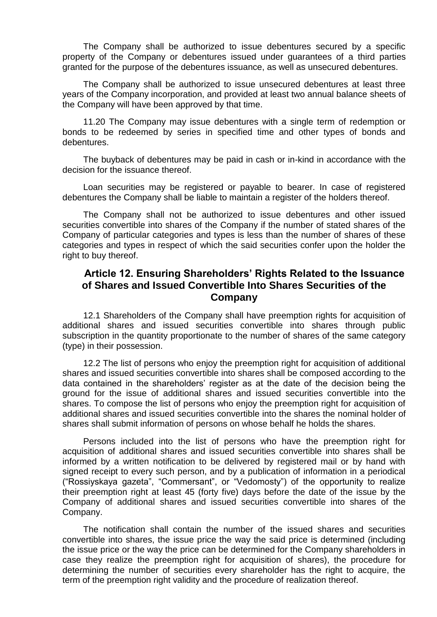The Company shall be authorized to issue debentures secured by a specific property of the Company or debentures issued under guarantees of a third parties granted for the purpose of the debentures issuance, as well as unsecured debentures.

The Company shall be authorized to issue unsecured debentures at least three years of the Company incorporation, and provided at least two annual balance sheets of the Company will have been approved by that time.

11.20 The Company may issue debentures with a single term of redemption or bonds to be redeemed by series in specified time and other types of bonds and debentures.

The buyback of debentures may be paid in cash or in-kind in accordance with the decision for the issuance thereof.

Loan securities may be registered or payable to bearer. In case of registered debentures the Company shall be liable to maintain a register of the holders thereof.

The Company shall not be authorized to issue debentures and other issued securities convertible into shares of the Company if the number of stated shares of the Company of particular categories and types is less than the number of shares of these categories and types in respect of which the said securities confer upon the holder the right to buy thereof.

# **Article 12. Ensuring Shareholders' Rights Related to the Issuance of Shares and Issued Convertible Into Shares Securities of the Company**

12.1 Shareholders of the Company shall have preemption rights for acquisition of additional shares and issued securities convertible into shares through public subscription in the quantity proportionate to the number of shares of the same category (type) in their possession.

12.2 The list of persons who enjoy the preemption right for acquisition of additional shares and issued securities convertible into shares shall be composed according to the data contained in the shareholders' register as at the date of the decision being the ground for the issue of additional shares and issued securities convertible into the shares. To compose the list of persons who enjoy the preemption right for acquisition of additional shares and issued securities convertible into the shares the nominal holder of shares shall submit information of persons on whose behalf he holds the shares.

Persons included into the list of persons who have the preemption right for acquisition of additional shares and issued securities convertible into shares shall be informed by a written notification to be delivered by registered mail or by hand with signed receipt to every such person, and by a publication of information in a periodical ("Rossiyskaya gazeta", "Commersant", or "Vedomosty") of the opportunity to realize their preemption right at least 45 (forty five) days before the date of the issue by the Company of additional shares and issued securities convertible into shares of the Company.

The notification shall contain the number of the issued shares and securities convertible into shares, the issue price the way the said price is determined (including the issue price or the way the price can be determined for the Company shareholders in case they realize the preemption right for acquisition of shares), the procedure for determining the number of securities every shareholder has the right to acquire, the term of the preemption right validity and the procedure of realization thereof.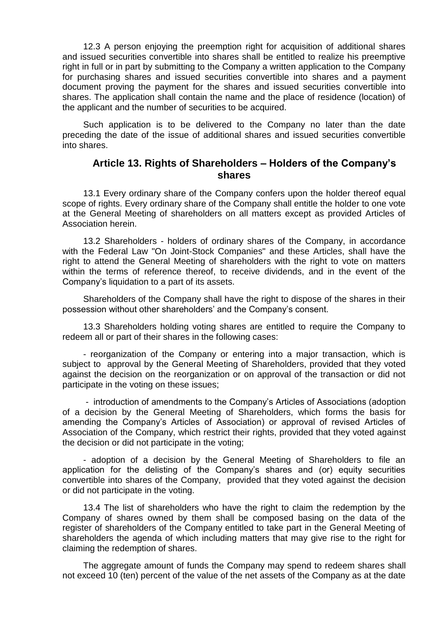12.3 A person enjoying the preemption right for acquisition of additional shares and issued securities convertible into shares shall be entitled to realize his preemptive right in full or in part by submitting to the Company a written application to the Company for purchasing shares and issued securities convertible into shares and a payment document proving the payment for the shares and issued securities convertible into shares. The application shall contain the name and the place of residence (location) of the applicant and the number of securities to be acquired.

Such application is to be delivered to the Company no later than the date preceding the date of the issue of additional shares and issued securities convertible into shares.

#### **Article 13. Rights of Shareholders – Holders of the Company's shares**

13.1 Every ordinary share of the Company confers upon the holder thereof equal scope of rights. Every ordinary share of the Company shall entitle the holder to one vote at the General Meeting of shareholders on all matters except as provided Articles of Association herein.

13.2 Shareholders - holders of ordinary shares of the Company, in accordance with the Federal Law "On Joint-Stock Companies" and these Articles, shall have the right to attend the General Meeting of shareholders with the right to vote on matters within the terms of reference thereof, to receive dividends, and in the event of the Company's liquidation to a part of its assets.

Shareholders of the Company shall have the right to dispose of the shares in their possession without other shareholders' and the Company's consent.

13.3 Shareholders holding voting shares are entitled to require the Company to redeem all or part of their shares in the following cases:

- reorganization of the Company or entering into a major transaction, which is subject to approval by the General Meeting of Shareholders, provided that they voted against the decision on the reorganization or on approval of the transaction or did not participate in the voting on these issues;

- introduction of amendments to the Company's Articles of Associations (adoption of a decision by the General Meeting of Shareholders, which forms the basis for amending the Company's Articles of Association) or approval of revised Articles of Association of the Company, which restrict their rights, provided that they voted against the decision or did not participate in the voting;

- adoption of a decision by the General Meeting of Shareholders to file an application for the delisting of the Company's shares and (or) equity securities convertible into shares of the Company, provided that they voted against the decision or did not participate in the voting.

13.4 The list of shareholders who have the right to claim the redemption by the Company of shares owned by them shall be composed basing on the data of the register of shareholders of the Company entitled to take part in the General Meeting of shareholders the agenda of which including matters that may give rise to the right for claiming the redemption of shares.

The aggregate amount of funds the Company may spend to redeem shares shall not exceed 10 (ten) percent of the value of the net assets of the Company as at the date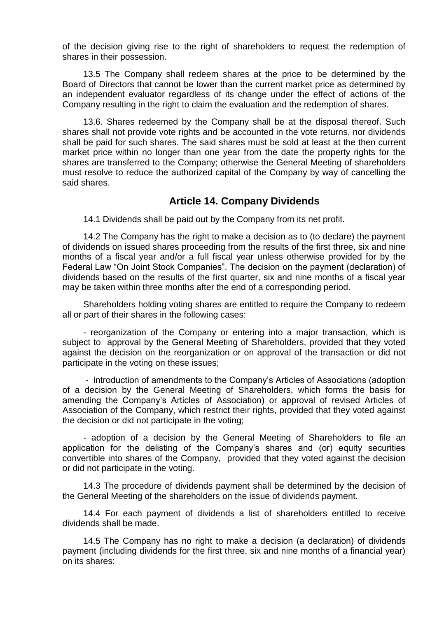of the decision giving rise to the right of shareholders to request the redemption of shares in their possession.

13.5 The Company shall redeem shares at the price to be determined by the Board of Directors that cannot be lower than the current market price as determined by an independent evaluator regardless of its change under the effect of actions of the Company resulting in the right to claim the evaluation and the redemption of shares.

13.6. Shares redeemed by the Company shall be at the disposal thereof. Such shares shall not provide vote rights and be accounted in the vote returns, nor dividends shall be paid for such shares. The said shares must be sold at least at the then current market price within no longer than one year from the date the property rights for the shares are transferred to the Company; otherwise the General Meeting of shareholders must resolve to reduce the authorized capital of the Company by way of cancelling the said shares.

#### **Article 14. Company Dividends**

14.1 Dividends shall be paid out by the Company from its net profit.

14.2 The Company has the right to make a decision as to (to declare) the payment of dividends on issued shares proceeding from the results of the first three, six and nine months of a fiscal year and/or a full fiscal year unless otherwise provided for by the Federal Law "On Joint Stock Companies". The decision on the payment (declaration) of dividends based on the results of the first quarter, six and nine months of a fiscal year may be taken within three months after the end of a corresponding period.

Shareholders holding voting shares are entitled to require the Company to redeem all or part of their shares in the following cases:

- reorganization of the Company or entering into a major transaction, which is subject to approval by the General Meeting of Shareholders, provided that they voted against the decision on the reorganization or on approval of the transaction or did not participate in the voting on these issues;

- introduction of amendments to the Company's Articles of Associations (adoption of a decision by the General Meeting of Shareholders, which forms the basis for amending the Company's Articles of Association) or approval of revised Articles of Association of the Company, which restrict their rights, provided that they voted against the decision or did not participate in the voting;

- adoption of a decision by the General Meeting of Shareholders to file an application for the delisting of the Company's shares and (or) equity securities convertible into shares of the Company, provided that they voted against the decision or did not participate in the voting.

14.3 The procedure of dividends payment shall be determined by the decision of the General Meeting of the shareholders on the issue of dividends payment.

14.4 For each payment of dividends a list of shareholders entitled to receive dividends shall be made.

14.5 The Company has no right to make a decision (a declaration) of dividends payment (including dividends for the first three, six and nine months of a financial year) on its shares: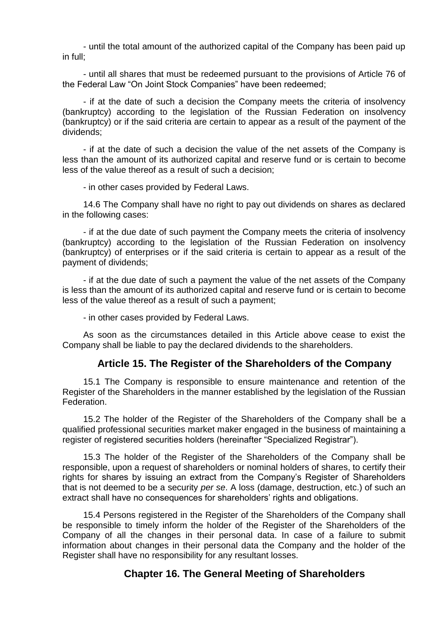- until the total amount of the authorized capital of the Company has been paid up in full;

- until all shares that must be redeemed pursuant to the provisions of Article 76 of the Federal Law "On Joint Stock Companies" have been redeemed;

- if at the date of such a decision the Company meets the criteria of insolvency (bankruptcy) according to the legislation of the Russian Federation on insolvency (bankruptcy) or if the said criteria are certain to appear as a result of the payment of the dividends;

- if at the date of such a decision the value of the net assets of the Company is less than the amount of its authorized capital and reserve fund or is certain to become less of the value thereof as a result of such a decision;

- in other cases provided by Federal Laws.

14.6 The Company shall have no right to pay out dividends on shares as declared in the following cases:

- if at the due date of such payment the Company meets the criteria of insolvency (bankruptcy) according to the legislation of the Russian Federation on insolvency (bankruptcy) of enterprises or if the said criteria is certain to appear as a result of the payment of dividends;

- if at the due date of such a payment the value of the net assets of the Company is less than the amount of its authorized capital and reserve fund or is certain to become less of the value thereof as a result of such a payment;

- in other cases provided by Federal Laws.

As soon as the circumstances detailed in this Article above cease to exist the Company shall be liable to pay the declared dividends to the shareholders.

# **Article 15. The Register of the Shareholders of the Company**

15.1 The Company is responsible to ensure maintenance and retention of the Register of the Shareholders in the manner established by the legislation of the Russian Federation.

15.2 The holder of the Register of the Shareholders of the Company shall be a qualified professional securities market maker engaged in the business of maintaining a register of registered securities holders (hereinafter "Specialized Registrar").

15.3 The holder of the Register of the Shareholders of the Company shall be responsible, upon a request of shareholders or nominal holders of shares, to certify their rights for shares by issuing an extract from the Company's Register of Shareholders that is not deemed to be a security *per se*. A loss (damage, destruction, etc.) of such an extract shall have no consequences for shareholders' rights and obligations.

15.4 Persons registered in the Register of the Shareholders of the Company shall be responsible to timely inform the holder of the Register of the Shareholders of the Company of all the changes in their personal data. In case of a failure to submit information about changes in their personal data the Company and the holder of the Register shall have no responsibility for any resultant losses.

# **Chapter 16. The General Meeting of Shareholders**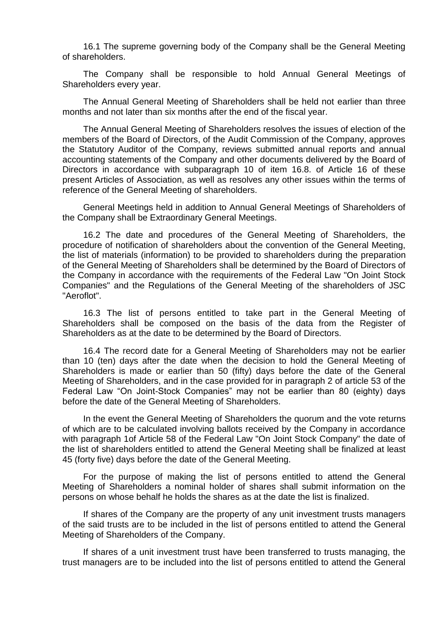16.1 The supreme governing body of the Company shall be the General Meeting of shareholders.

The Company shall be responsible to hold Annual General Meetings of Shareholders every year.

The Annual General Meeting of Shareholders shall be held not earlier than three months and not later than six months after the end of the fiscal year.

The Annual General Meeting of Shareholders resolves the issues of election of the members of the Board of Directors, of the Audit Commission of the Company, approves the Statutory Auditor of the Company, reviews submitted annual reports and annual accounting statements of the Company and other documents delivered by the Board of Directors in accordance with subparagraph 10 of item 16.8. of Article 16 of these present Articles of Association, as well as resolves any other issues within the terms of reference of the General Meeting of shareholders.

General Meetings held in addition to Annual General Meetings of Shareholders of the Company shall be Extraordinary General Meetings.

16.2 The date and procedures of the General Meeting of Shareholders, the procedure of notification of shareholders about the convention of the General Meeting, the list of materials (information) to be provided to shareholders during the preparation of the General Meeting of Shareholders shall be determined by the Board of Directors of the Company in accordance with the requirements of the Federal Law "On Joint Stock Companies" and the Regulations of the General Meeting of the shareholders of JSC "Aeroflot".

16.3 The list of persons entitled to take part in the General Meeting of Shareholders shall be composed on the basis of the data from the Register of Shareholders as at the date to be determined by the Board of Directors.

16.4 The record date for a General Meeting of Shareholders may not be earlier than 10 (ten) days after the date when the decision to hold the General Meeting of Shareholders is made or earlier than 50 (fifty) days before the date of the General Meeting of Shareholders, and in the case provided for in paragraph 2 of article 53 of the Federal Law "On Joint-Stock Companies" may not be earlier than 80 (eighty) days before the date of the General Meeting of Shareholders.

In the event the General Meeting of Shareholders the quorum and the vote returns of which are to be calculated involving ballots received by the Company in accordance with paragraph 1of Article 58 of the Federal Law "On Joint Stock Company" the date of the list of shareholders entitled to attend the General Meeting shall be finalized at least 45 (forty five) days before the date of the General Meeting.

For the purpose of making the list of persons entitled to attend the General Meeting of Shareholders a nominal holder of shares shall submit information on the persons on whose behalf he holds the shares as at the date the list is finalized.

If shares of the Company are the property of any unit investment trusts managers of the said trusts are to be included in the list of persons entitled to attend the General Meeting of Shareholders of the Company.

If shares of a unit investment trust have been transferred to trusts managing, the trust managers are to be included into the list of persons entitled to attend the General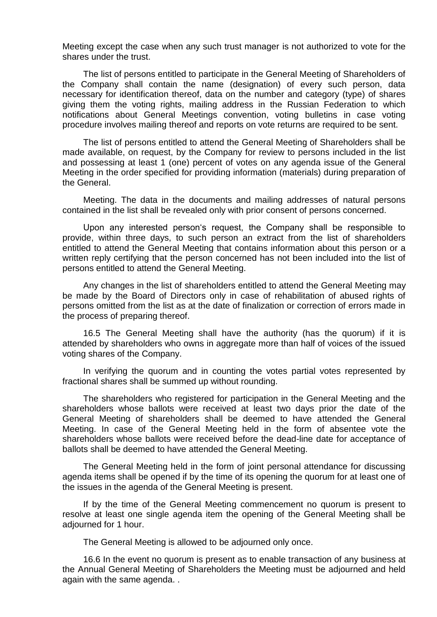Meeting except the case when any such trust manager is not authorized to vote for the shares under the trust.

The list of persons entitled to participate in the General Meeting of Shareholders of the Company shall contain the name (designation) of every such person, data necessary for identification thereof, data on the number and category (type) of shares giving them the voting rights, mailing address in the Russian Federation to which notifications about General Meetings convention, voting bulletins in case voting procedure involves mailing thereof and reports on vote returns are required to be sent.

The list of persons entitled to attend the General Meeting of Shareholders shall be made available, on request, by the Company for review to persons included in the list and possessing at least 1 (one) percent of votes on any agenda issue of the General Meeting in the order specified for providing information (materials) during preparation of the General.

Meeting. The data in the documents and mailing addresses of natural persons contained in the list shall be revealed only with prior consent of persons concerned.

Upon any interested person's request, the Company shall be responsible to provide, within three days, to such person an extract from the list of shareholders entitled to attend the General Meeting that contains information about this person or a written reply certifying that the person concerned has not been included into the list of persons entitled to attend the General Meeting.

Any changes in the list of shareholders entitled to attend the General Meeting may be made by the Board of Directors only in case of rehabilitation of abused rights of persons omitted from the list as at the date of finalization or correction of errors made in the process of preparing thereof.

16.5 The General Meeting shall have the authority (has the quorum) if it is attended by shareholders who owns in aggregate more than half of voices of the issued voting shares of the Company.

In verifying the quorum and in counting the votes partial votes represented by fractional shares shall be summed up without rounding.

The shareholders who registered for participation in the General Meeting and the shareholders whose ballots were received at least two days prior the date of the General Meeting of shareholders shall be deemed to have attended the General Meeting. In case of the General Meeting held in the form of absentee vote the shareholders whose ballots were received before the dead-line date for acceptance of ballots shall be deemed to have attended the General Meeting.

The General Meeting held in the form of joint personal attendance for discussing agenda items shall be opened if by the time of its opening the quorum for at least one of the issues in the agenda of the General Meeting is present.

If by the time of the General Meeting commencement no quorum is present to resolve at least one single agenda item the opening of the General Meeting shall be adjourned for 1 hour.

The General Meeting is allowed to be adjourned only once.

16.6 In the event no quorum is present as to enable transaction of any business at the Annual General Meeting of Shareholders the Meeting must be adjourned and held again with the same agenda. .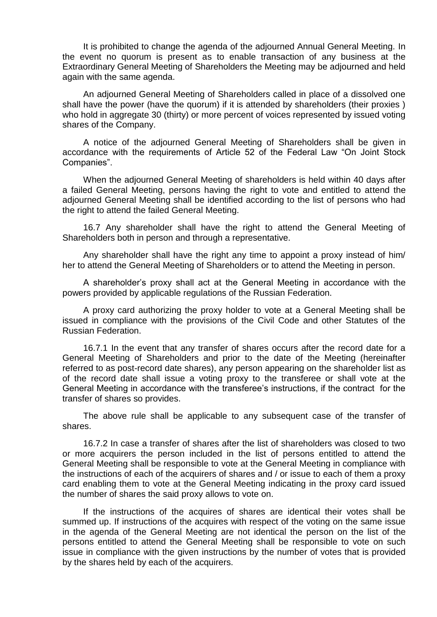It is prohibited to change the agenda of the adjourned Annual General Meeting. In the event no quorum is present as to enable transaction of any business at the Extraordinary General Meeting of Shareholders the Meeting may be adjourned and held again with the same agenda.

An adjourned General Meeting of Shareholders called in place of a dissolved one shall have the power (have the quorum) if it is attended by shareholders (their proxies ) who hold in aggregate 30 (thirty) or more percent of voices represented by issued voting shares of the Company.

A notice of the adjourned General Meeting of Shareholders shall be given in accordance with the requirements of Article 52 of the Federal Law "On Joint Stock Companies".

When the adjourned General Meeting of shareholders is held within 40 days after a failed General Meeting, persons having the right to vote and entitled to attend the adjourned General Meeting shall be identified according to the list of persons who had the right to attend the failed General Meeting.

16.7 Any shareholder shall have the right to attend the General Meeting of Shareholders both in person and through a representative.

Any shareholder shall have the right any time to appoint a proxy instead of him/ her to attend the General Meeting of Shareholders or to attend the Meeting in person.

A shareholder's proxy shall act at the General Meeting in accordance with the powers provided by applicable regulations of the Russian Federation.

A proxy card authorizing the proxy holder to vote at a General Meeting shall be issued in compliance with the provisions of the Civil Code and other Statutes of the Russian Federation.

16.7.1 In the event that any transfer of shares occurs after the record date for a General Meeting of Shareholders and prior to the date of the Meeting (hereinafter referred to as post-record date shares), any person appearing on the shareholder list as of the record date shall issue a voting proxy to the transferee or shall vote at the General Meeting in accordance with the transferee's instructions, if the contract for the transfer of shares so provides.

The above rule shall be applicable to any subsequent case of the transfer of shares.

16.7.2 In case a transfer of shares after the list of shareholders was closed to two or more acquirers the person included in the list of persons entitled to attend the General Meeting shall be responsible to vote at the General Meeting in compliance with the instructions of each of the acquirers of shares and / or issue to each of them a proxy card enabling them to vote at the General Meeting indicating in the proxy card issued the number of shares the said proxy allows to vote on.

If the instructions of the acquires of shares are identical their votes shall be summed up. If instructions of the acquires with respect of the voting on the same issue in the agenda of the General Meeting are not identical the person on the list of the persons entitled to attend the General Meeting shall be responsible to vote on such issue in compliance with the given instructions by the number of votes that is provided by the shares held by each of the acquirers.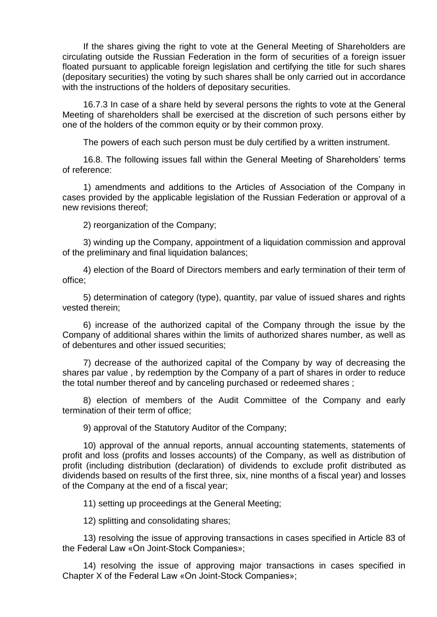If the shares giving the right to vote at the General Meeting of Shareholders are circulating outside the Russian Federation in the form of securities of a foreign issuer floated pursuant to applicable foreign legislation and certifying the title for such shares (depositary securities) the voting by such shares shall be only carried out in accordance with the instructions of the holders of depositary securities.

16.7.3 In case of a share held by several persons the rights to vote at the General Meeting of shareholders shall be exercised at the discretion of such persons either by one of the holders of the common equity or by their common proxy.

The powers of each such person must be duly certified by a written instrument.

16.8. The following issues fall within the General Meeting of Shareholders' terms of reference:

1) amendments and additions to the Articles of Association of the Company in cases provided by the applicable legislation of the Russian Federation or approval of a new revisions thereof;

2) reorganization of the Company;

3) winding up the Company, appointment of a liquidation commission and approval of the preliminary and final liquidation balances;

4) election of the Board of Directors members and early termination of their term of office;

5) determination of category (type), quantity, par value of issued shares and rights vested therein;

6) increase of the authorized capital of the Company through the issue by the Company of additional shares within the limits of authorized shares number, as well as of debentures and other issued securities;

7) decrease of the authorized capital of the Company by way of decreasing the shares par value , by redemption by the Company of a part of shares in order to reduce the total number thereof and by canceling purchased or redeemed shares ;

8) election of members of the Audit Committee of the Company and early termination of their term of office;

9) approval of the Statutory Auditor of the Company;

10) approval of the annual reports, annual accounting statements, statements of profit and loss (profits and losses accounts) of the Company, as well as distribution of profit (including distribution (declaration) of dividends to exclude profit distributed as dividends based on results of the first three, six, nine months of a fiscal year) and losses of the Company at the end of a fiscal year;

11) setting up proceedings at the General Meeting;

12) splitting and consolidating shares;

13) resolving the issue of approving transactions in cases specified in Article 83 of the Federal Law «On Joint-Stock Companies»;

14) resolving the issue of approving major transactions in cases specified in Chapter X of the Federal Law «On Joint-Stock Companies»;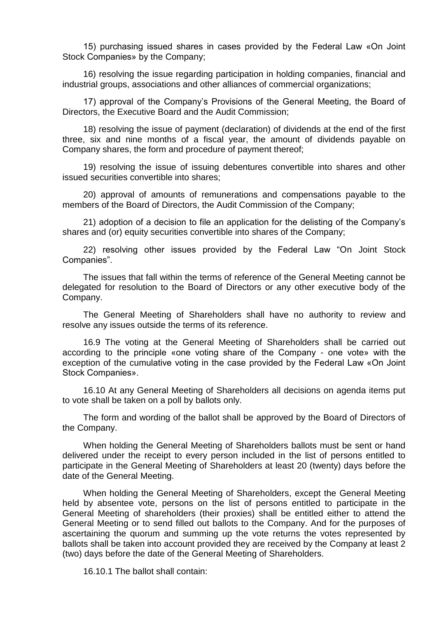15) purchasing issued shares in cases provided by the Federal Law «On Joint Stock Companies» by the Company;

16) resolving the issue regarding participation in holding companies, financial and industrial groups, associations and other alliances of commercial organizations;

17) approval of the Company's Provisions of the General Meeting, the Board of Directors, the Executive Board and the Audit Commission;

18) resolving the issue of payment (declaration) of dividends at the end of the first three, six and nine months of a fiscal year, the amount of dividends payable on Company shares, the form and procedure of payment thereof;

19) resolving the issue of issuing debentures convertible into shares and other issued securities convertible into shares;

20) approval of amounts of remunerations and compensations payable to the members of the Board of Directors, the Audit Commission of the Company;

21) adoption of a decision to file an application for the delisting of the Company's shares and (or) equity securities convertible into shares of the Company;

22) resolving other issues provided by the Federal Law "On Joint Stock Companies".

The issues that fall within the terms of reference of the General Meeting cannot be delegated for resolution to the Board of Directors or any other executive body of the Company.

The General Meeting of Shareholders shall have no authority to review and resolve any issues outside the terms of its reference.

16.9 The voting at the General Meeting of Shareholders shall be carried out according to the principle «one voting share of the Company - one vote» with the exception of the cumulative voting in the case provided by the Federal Law «On Joint Stock Companies».

16.10 At any General Meeting of Shareholders all decisions on agenda items put to vote shall be taken on a poll by ballots only.

The form and wording of the ballot shall be approved by the Board of Directors of the Company.

When holding the General Meeting of Shareholders ballots must be sent or hand delivered under the receipt to every person included in the list of persons entitled to participate in the General Meeting of Shareholders at least 20 (twenty) days before the date of the General Meeting.

When holding the General Meeting of Shareholders, except the General Meeting held by absentee vote, persons on the list of persons entitled to participate in the General Meeting of shareholders (their proxies) shall be entitled either to attend the General Meeting or to send filled out ballots to the Company. And for the purposes of ascertaining the quorum and summing up the vote returns the votes represented by ballots shall be taken into account provided they are received by the Company at least 2 (two) days before the date of the General Meeting of Shareholders.

16.10.1 The ballot shall contain: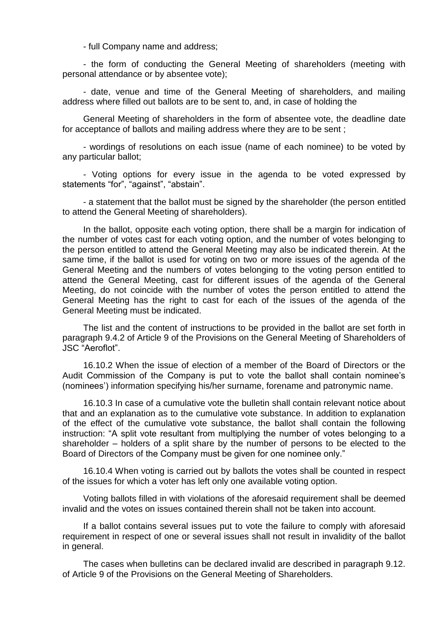- full Company name and address;

- the form of conducting the General Meeting of shareholders (meeting with personal attendance or by absentee vote);

- date, venue and time of the General Meeting of shareholders, and mailing address where filled out ballots are to be sent to, and, in case of holding the

General Meeting of shareholders in the form of absentee vote, the deadline date for acceptance of ballots and mailing address where they are to be sent ;

- wordings of resolutions on each issue (name of each nominee) to be voted by any particular ballot;

- Voting options for every issue in the agenda to be voted expressed by statements "for", "against", "abstain".

- a statement that the ballot must be signed by the shareholder (the person entitled to attend the General Meeting of shareholders).

In the ballot, opposite each voting option, there shall be a margin for indication of the number of votes cast for each voting option, and the number of votes belonging to the person entitled to attend the General Meeting may also be indicated therein. At the same time, if the ballot is used for voting on two or more issues of the agenda of the General Meeting and the numbers of votes belonging to the voting person entitled to attend the General Meeting, cast for different issues of the agenda of the General Meeting, do not coincide with the number of votes the person entitled to attend the General Meeting has the right to cast for each of the issues of the agenda of the General Meeting must be indicated.

The list and the content of instructions to be provided in the ballot are set forth in paragraph 9.4.2 of Article 9 of the Provisions on the General Meeting of Shareholders of JSC "Aeroflot".

16.10.2 When the issue of election of a member of the Board of Directors or the Audit Commission of the Company is put to vote the ballot shall contain nominee's (nominees') information specifying his/her surname, forename and patronymic name.

16.10.3 In case of a cumulative vote the bulletin shall contain relevant notice about that and an explanation as to the cumulative vote substance. In addition to explanation of the effect of the cumulative vote substance, the ballot shall contain the following instruction: "A split vote resultant from multiplying the number of votes belonging to a shareholder – holders of a split share by the number of persons to be elected to the Board of Directors of the Company must be given for one nominee only."

16.10.4 When voting is carried out by ballots the votes shall be counted in respect of the issues for which a voter has left only one available voting option.

Voting ballots filled in with violations of the aforesaid requirement shall be deemed invalid and the votes on issues contained therein shall not be taken into account.

If a ballot contains several issues put to vote the failure to comply with aforesaid requirement in respect of one or several issues shall not result in invalidity of the ballot in general.

The cases when bulletins can be declared invalid are described in paragraph 9.12. of Article 9 of the Provisions on the General Meeting of Shareholders.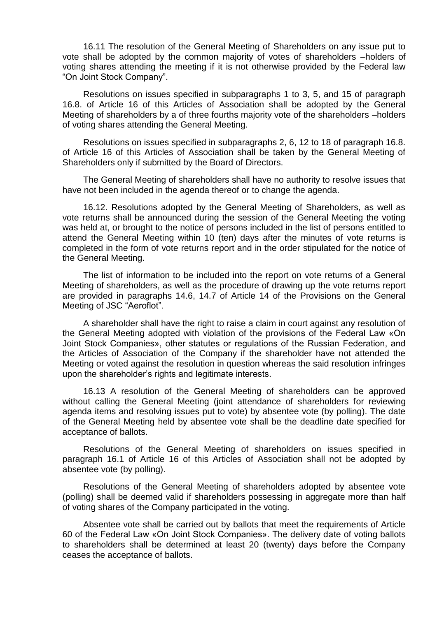16.11 The resolution of the General Meeting of Shareholders on any issue put to vote shall be adopted by the common majority of votes of shareholders –holders of voting shares attending the meeting if it is not otherwise provided by the Federal law "On Joint Stock Company".

Resolutions on issues specified in subparagraphs 1 to 3, 5, and 15 of paragraph 16.8. of Article 16 of this Articles of Association shall be adopted by the General Meeting of shareholders by a of three fourths majority vote of the shareholders –holders of voting shares attending the General Meeting.

Resolutions on issues specified in subparagraphs 2, 6, 12 to 18 of paragraph 16.8. of Article 16 of this Articles of Association shall be taken by the General Meeting of Shareholders only if submitted by the Board of Directors.

The General Meeting of shareholders shall have no authority to resolve issues that have not been included in the agenda thereof or to change the agenda.

16.12. Resolutions adopted by the General Meeting of Shareholders, as well as vote returns shall be announced during the session of the General Meeting the voting was held at, or brought to the notice of persons included in the list of persons entitled to attend the General Meeting within 10 (ten) days after the minutes of vote returns is completed in the form of vote returns report and in the order stipulated for the notice of the General Meeting.

The list of information to be included into the report on vote returns of a General Meeting of shareholders, as well as the procedure of drawing up the vote returns report are provided in paragraphs 14.6, 14.7 of Article 14 of the Provisions on the General Meeting of JSC "Aeroflot".

A shareholder shall have the right to raise a claim in court against any resolution of the General Meeting adopted with violation of the provisions of the Federal Law «On Joint Stock Companies», other statutes or regulations of the Russian Federation, and the Articles of Association of the Company if the shareholder have not attended the Meeting or voted against the resolution in question whereas the said resolution infringes upon the shareholder's rights and legitimate interests.

16.13 A resolution of the General Meeting of shareholders can be approved without calling the General Meeting (joint attendance of shareholders for reviewing agenda items and resolving issues put to vote) by absentee vote (by polling). The date of the General Meeting held by absentee vote shall be the deadline date specified for acceptance of ballots.

Resolutions of the General Meeting of shareholders on issues specified in paragraph 16.1 of Article 16 of this Articles of Association shall not be adopted by absentee vote (by polling).

Resolutions of the General Meeting of shareholders adopted by absentee vote (polling) shall be deemed valid if shareholders possessing in aggregate more than half of voting shares of the Company participated in the voting.

Absentee vote shall be carried out by ballots that meet the requirements of Article 60 of the Federal Law «On Joint Stock Companies». The delivery date of voting ballots to shareholders shall be determined at least 20 (twenty) days before the Company ceases the acceptance of ballots.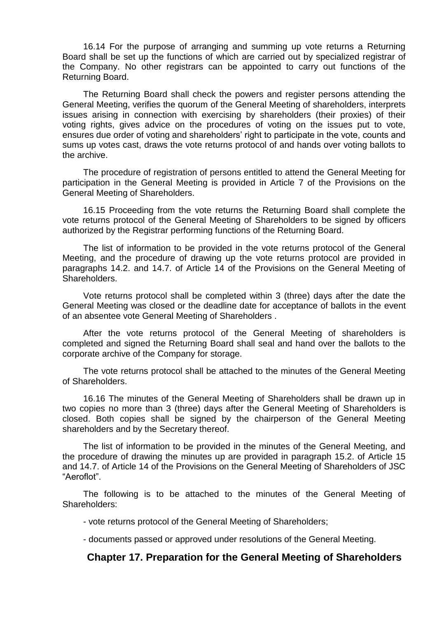16.14 For the purpose of arranging and summing up vote returns a Returning Board shall be set up the functions of which are carried out by specialized registrar of the Company. No other registrars can be appointed to carry out functions of the Returning Board.

The Returning Board shall check the powers and register persons attending the General Meeting, verifies the quorum of the General Meeting of shareholders, interprets issues arising in connection with exercising by shareholders (their proxies) of their voting rights, gives advice on the procedures of voting on the issues put to vote, ensures due order of voting and shareholders' right to participate in the vote, counts and sums up votes cast, draws the vote returns protocol of and hands over voting ballots to the archive.

The procedure of registration of persons entitled to attend the General Meeting for participation in the General Meeting is provided in Article 7 of the Provisions on the General Meeting of Shareholders.

16.15 Proceeding from the vote returns the Returning Board shall complete the vote returns protocol of the General Meeting of Shareholders to be signed by officers authorized by the Registrar performing functions of the Returning Board.

The list of information to be provided in the vote returns protocol of the General Meeting, and the procedure of drawing up the vote returns protocol are provided in paragraphs 14.2. and 14.7. of Article 14 of the Provisions on the General Meeting of Shareholders.

Vote returns protocol shall be completed within 3 (three) days after the date the General Meeting was closed or the deadline date for acceptance of ballots in the event of an absentee vote General Meeting of Shareholders .

After the vote returns protocol of the General Meeting of shareholders is completed and signed the Returning Board shall seal and hand over the ballots to the corporate archive of the Company for storage.

The vote returns protocol shall be attached to the minutes of the General Meeting of Shareholders.

16.16 The minutes of the General Meeting of Shareholders shall be drawn up in two copies no more than 3 (three) days after the General Meeting of Shareholders is closed. Both copies shall be signed by the chairperson of the General Meeting shareholders and by the Secretary thereof.

The list of information to be provided in the minutes of the General Meeting, and the procedure of drawing the minutes up are provided in paragraph 15.2. of Article 15 and 14.7. of Article 14 of the Provisions on the General Meeting of Shareholders of JSC "Aeroflot".

The following is to be attached to the minutes of the General Meeting of Shareholders:

- vote returns protocol of the General Meeting of Shareholders;

- documents passed or approved under resolutions of the General Meeting.

#### **Chapter 17. Preparation for the General Meeting of Shareholders**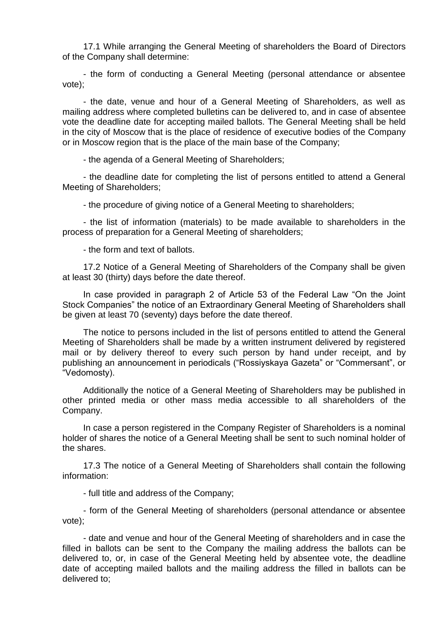17.1 While arranging the General Meeting of shareholders the Board of Directors of the Company shall determine:

- the form of conducting a General Meeting (personal attendance or absentee vote);

- the date, venue and hour of a General Meeting of Shareholders, as well as mailing address where completed bulletins can be delivered to, and in case of absentee vote the deadline date for accepting mailed ballots. The General Meeting shall be held in the city of Moscow that is the place of residence of executive bodies of the Company or in Moscow region that is the place of the main base of the Company;

- the agenda of a General Meeting of Shareholders;

- the deadline date for completing the list of persons entitled to attend a General Meeting of Shareholders;

- the procedure of giving notice of a General Meeting to shareholders;

- the list of information (materials) to be made available to shareholders in the process of preparation for a General Meeting of shareholders;

- the form and text of ballots.

17.2 Notice of a General Meeting of Shareholders of the Company shall be given at least 30 (thirty) days before the date thereof.

In case provided in paragraph 2 of Article 53 of the Federal Law "On the Joint Stock Companies" the notice of an Extraordinary General Meeting of Shareholders shall be given at least 70 (seventy) days before the date thereof.

The notice to persons included in the list of persons entitled to attend the General Meeting of Shareholders shall be made by a written instrument delivered by registered mail or by delivery thereof to every such person by hand under receipt, and by publishing an announcement in periodicals ("Rossiyskaya Gazeta" or "Commersant", or "Vedomosty).

Additionally the notice of a General Meeting of Shareholders may be published in other printed media or other mass media accessible to all shareholders of the Company.

In case a person registered in the Company Register of Shareholders is a nominal holder of shares the notice of a General Meeting shall be sent to such nominal holder of the shares.

17.3 The notice of a General Meeting of Shareholders shall contain the following information:

- full title and address of the Company;

- form of the General Meeting of shareholders (personal attendance or absentee vote);

- date and venue and hour of the General Meeting of shareholders and in case the filled in ballots can be sent to the Company the mailing address the ballots can be delivered to, or, in case of the General Meeting held by absentee vote, the deadline date of accepting mailed ballots and the mailing address the filled in ballots can be delivered to;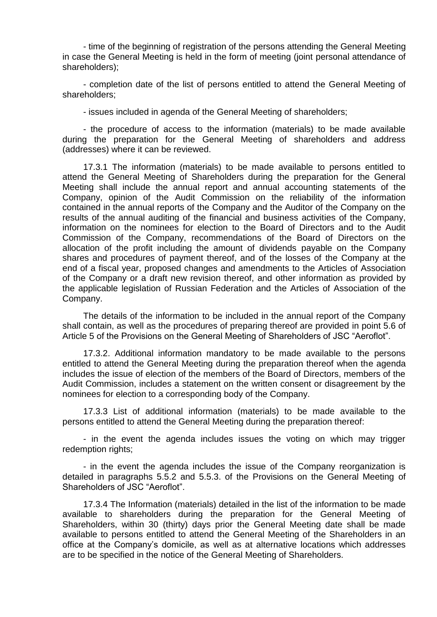- time of the beginning of registration of the persons attending the General Meeting in case the General Meeting is held in the form of meeting (joint personal attendance of shareholders);

- completion date of the list of persons entitled to attend the General Meeting of shareholders;

- issues included in agenda of the General Meeting of shareholders;

- the procedure of access to the information (materials) to be made available during the preparation for the General Meeting of shareholders and address (addresses) where it can be reviewed.

17.3.1 The information (materials) to be made available to persons entitled to attend the General Meeting of Shareholders during the preparation for the General Meeting shall include the annual report and annual accounting statements of the Company, opinion of the Audit Commission on the reliability of the information contained in the annual reports of the Company and the Auditor of the Company on the results of the annual auditing of the financial and business activities of the Company, information on the nominees for election to the Board of Directors and to the Audit Commission of the Company, recommendations of the Board of Directors on the allocation of the profit including the amount of dividends payable on the Company shares and procedures of payment thereof, and of the losses of the Company at the end of a fiscal year, proposed changes and amendments to the Articles of Association of the Company or a draft new revision thereof, and other information as provided by the applicable legislation of Russian Federation and the Articles of Association of the Company.

The details of the information to be included in the annual report of the Company shall contain, as well as the procedures of preparing thereof are provided in point 5.6 of Article 5 of the Provisions on the General Meeting of Shareholders of JSC "Aeroflot".

17.3.2. Additional information mandatory to be made available to the persons entitled to attend the General Meeting during the preparation thereof when the agenda includes the issue of election of the members of the Board of Directors, members of the Audit Commission, includes a statement on the written consent or disagreement by the nominees for election to a corresponding body of the Company.

17.3.3 List of additional information (materials) to be made available to the persons entitled to attend the General Meeting during the preparation thereof:

- in the event the agenda includes issues the voting on which may trigger redemption rights;

- in the event the agenda includes the issue of the Company reorganization is detailed in paragraphs 5.5.2 and 5.5.3. of the Provisions on the General Meeting of Shareholders of JSC "Aeroflot".

17.3.4 The Information (materials) detailed in the list of the information to be made available to shareholders during the preparation for the General Meeting of Shareholders, within 30 (thirty) days prior the General Meeting date shall be made available to persons entitled to attend the General Meeting of the Shareholders in an office at the Company's domicile, as well as at alternative locations which addresses are to be specified in the notice of the General Meeting of Shareholders.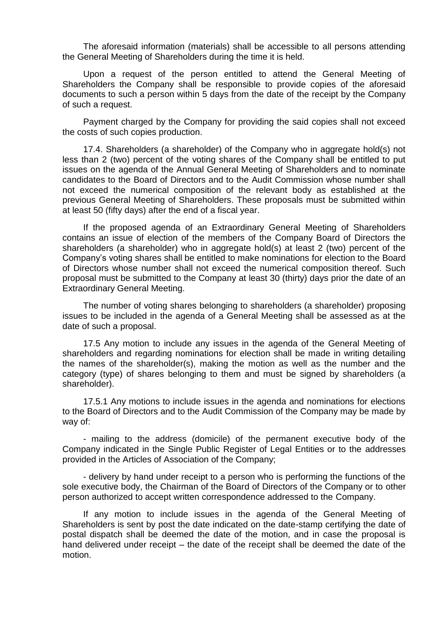The aforesaid information (materials) shall be accessible to all persons attending the General Meeting of Shareholders during the time it is held.

Upon a request of the person entitled to attend the General Meeting of Shareholders the Company shall be responsible to provide copies of the aforesaid documents to such a person within 5 days from the date of the receipt by the Company of such a request.

Payment charged by the Company for providing the said copies shall not exceed the costs of such copies production.

17.4. Shareholders (a shareholder) of the Company who in aggregate hold(s) not less than 2 (two) percent of the voting shares of the Company shall be entitled to put issues on the agenda of the Annual General Meeting of Shareholders and to nominate candidates to the Board of Directors and to the Audit Commission whose number shall not exceed the numerical composition of the relevant body as established at the previous General Meeting of Shareholders. These proposals must be submitted within at least 50 (fifty days) after the end of a fiscal year.

If the proposed agenda of an Extraordinary General Meeting of Shareholders contains an issue of election of the members of the Company Board of Directors the shareholders (a shareholder) who in aggregate hold(s) at least 2 (two) percent of the Company's voting shares shall be entitled to make nominations for election to the Board of Directors whose number shall not exceed the numerical composition thereof. Such proposal must be submitted to the Company at least 30 (thirty) days prior the date of an Extraordinary General Meeting.

The number of voting shares belonging to shareholders (a shareholder) proposing issues to be included in the agenda of a General Meeting shall be assessed as at the date of such a proposal.

17.5 Any motion to include any issues in the agenda of the General Meeting of shareholders and regarding nominations for election shall be made in writing detailing the names of the shareholder(s), making the motion as well as the number and the category (type) of shares belonging to them and must be signed by shareholders (a shareholder).

17.5.1 Any motions to include issues in the agenda and nominations for elections to the Board of Directors and to the Audit Commission of the Company may be made by way of:

- mailing to the address (domicile) of the permanent executive body of the Company indicated in the Single Public Register of Legal Entities or to the addresses provided in the Articles of Association of the Company;

- delivery by hand under receipt to a person who is performing the functions of the sole executive body, the Chairman of the Board of Directors of the Company or to other person authorized to accept written correspondence addressed to the Company.

If any motion to include issues in the agenda of the General Meeting of Shareholders is sent by post the date indicated on the date-stamp certifying the date of postal dispatch shall be deemed the date of the motion, and in case the proposal is hand delivered under receipt – the date of the receipt shall be deemed the date of the motion.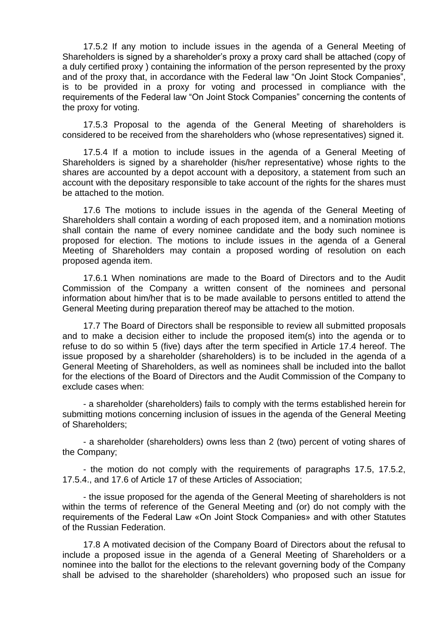17.5.2 If any motion to include issues in the agenda of a General Meeting of Shareholders is signed by a shareholder's proxy a proxy card shall be attached (copy of a duly certified proxy ) containing the information of the person represented by the proxy and of the proxy that, in accordance with the Federal law "On Joint Stock Companies", is to be provided in a proxy for voting and processed in compliance with the requirements of the Federal law "On Joint Stock Companies" concerning the contents of the proxy for voting.

17.5.3 Proposal to the agenda of the General Meeting of shareholders is considered to be received from the shareholders who (whose representatives) signed it.

17.5.4 If a motion to include issues in the agenda of a General Meeting of Shareholders is signed by a shareholder (his/her representative) whose rights to the shares are accounted by a depot account with a depository, a statement from such an account with the depositary responsible to take account of the rights for the shares must be attached to the motion.

17.6 The motions to include issues in the agenda of the General Meeting of Shareholders shall contain a wording of each proposed item, and a nomination motions shall contain the name of every nominee candidate and the body such nominee is proposed for election. The motions to include issues in the agenda of a General Meeting of Shareholders may contain a proposed wording of resolution on each proposed agenda item.

17.6.1 When nominations are made to the Board of Directors and to the Audit Commission of the Company a written consent of the nominees and personal information about him/her that is to be made available to persons entitled to attend the General Meeting during preparation thereof may be attached to the motion.

17.7 The Board of Directors shall be responsible to review all submitted proposals and to make a decision either to include the proposed item(s) into the agenda or to refuse to do so within 5 (five) days after the term specified in Article 17.4 hereof. The issue proposed by a shareholder (shareholders) is to be included in the agenda of a General Meeting of Shareholders, as well as nominees shall be included into the ballot for the elections of the Board of Directors and the Audit Commission of the Company to exclude cases when:

- a shareholder (shareholders) fails to comply with the terms established herein for submitting motions concerning inclusion of issues in the agenda of the General Meeting of Shareholders;

- a shareholder (shareholders) owns less than 2 (two) percent of voting shares of the Company;

- the motion do not comply with the requirements of paragraphs 17.5, 17.5.2, 17.5.4., and 17.6 of Article 17 of these Articles of Association;

- the issue proposed for the agenda of the General Meeting of shareholders is not within the terms of reference of the General Meeting and (or) do not comply with the requirements of the Federal Law «On Joint Stock Companies» and with other Statutes of the Russian Federation.

17.8 A motivated decision of the Company Board of Directors about the refusal to include a proposed issue in the agenda of a General Meeting of Shareholders or a nominee into the ballot for the elections to the relevant governing body of the Company shall be advised to the shareholder (shareholders) who proposed such an issue for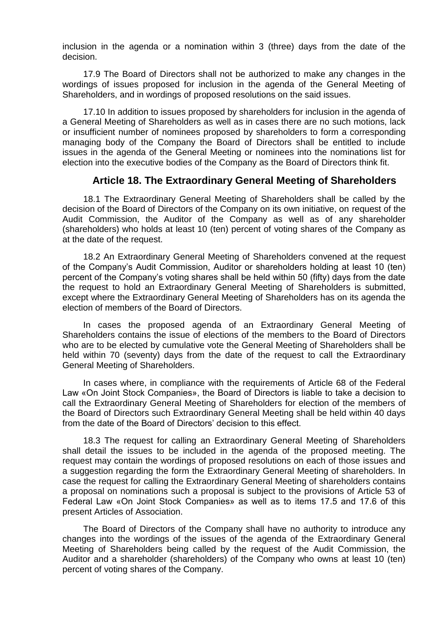inclusion in the agenda or a nomination within 3 (three) days from the date of the decision.

17.9 The Board of Directors shall not be authorized to make any changes in the wordings of issues proposed for inclusion in the agenda of the General Meeting of Shareholders, and in wordings of proposed resolutions on the said issues.

17.10 In addition to issues proposed by shareholders for inclusion in the agenda of a General Meeting of Shareholders as well as in cases there are no such motions, lack or insufficient number of nominees proposed by shareholders to form a corresponding managing body of the Company the Board of Directors shall be entitled to include issues in the agenda of the General Meeting or nominees into the nominations list for election into the executive bodies of the Company as the Board of Directors think fit.

#### **Article 18. The Extraordinary General Meeting of Shareholders**

18.1 The Extraordinary General Meeting of Shareholders shall be called by the decision of the Board of Directors of the Company on its own initiative, on request of the Audit Commission, the Auditor of the Company as well as of any shareholder (shareholders) who holds at least 10 (ten) percent of voting shares of the Company as at the date of the request.

18.2 An Extraordinary General Meeting of Shareholders convened at the request of the Company's Audit Commission, Auditor or shareholders holding at least 10 (ten) percent of the Company's voting shares shall be held within 50 (fifty) days from the date the request to hold an Extraordinary General Meeting of Shareholders is submitted, except where the Extraordinary General Meeting of Shareholders has on its agenda the election of members of the Board of Directors.

In cases the proposed agenda of an Extraordinary General Meeting of Shareholders contains the issue of elections of the members to the Board of Directors who are to be elected by cumulative vote the General Meeting of Shareholders shall be held within 70 (seventy) days from the date of the request to call the Extraordinary General Meeting of Shareholders.

In cases where, in compliance with the requirements of Article 68 of the Federal Law «On Joint Stock Companies», the Board of Directors is liable to take a decision to call the Extraordinary General Meeting of Shareholders for election of the members of the Board of Directors such Extraordinary General Meeting shall be held within 40 days from the date of the Board of Directors' decision to this effect.

18.3 The request for calling an Extraordinary General Meeting of Shareholders shall detail the issues to be included in the agenda of the proposed meeting. The request may contain the wordings of proposed resolutions on each of those issues and a suggestion regarding the form the Extraordinary General Meeting of shareholders. In case the request for calling the Extraordinary General Meeting of shareholders contains a proposal on nominations such a proposal is subject to the provisions of Article 53 of Federal Law «On Joint Stock Companies» as well as to items 17.5 and 17.6 of this present Articles of Association.

The Board of Directors of the Company shall have no authority to introduce any changes into the wordings of the issues of the agenda of the Extraordinary General Meeting of Shareholders being called by the request of the Audit Commission, the Auditor and a shareholder (shareholders) of the Company who owns at least 10 (ten) percent of voting shares of the Company.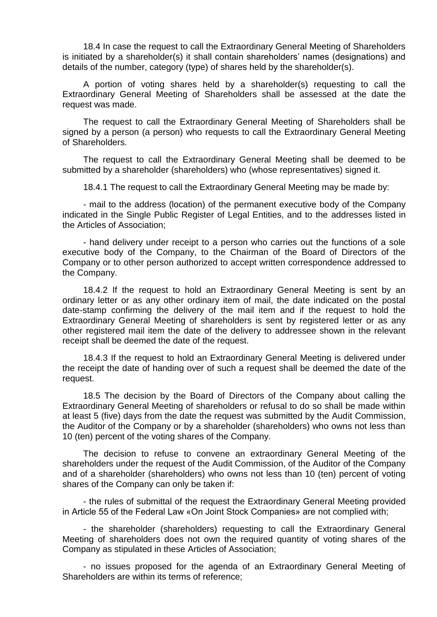18.4 In case the request to call the Extraordinary General Meeting of Shareholders is initiated by a shareholder(s) it shall contain shareholders' names (designations) and details of the number, category (type) of shares held by the shareholder(s).

A portion of voting shares held by a shareholder(s) requesting to call the Extraordinary General Meeting of Shareholders shall be assessed at the date the request was made.

The request to call the Extraordinary General Meeting of Shareholders shall be signed by a person (a person) who requests to call the Extraordinary General Meeting of Shareholders.

The request to call the Extraordinary General Meeting shall be deemed to be submitted by a shareholder (shareholders) who (whose representatives) signed it.

18.4.1 The request to call the Extraordinary General Meeting may be made by:

- mail to the address (location) of the permanent executive body of the Company indicated in the Single Public Register of Legal Entities, and to the addresses listed in the Articles of Association;

- hand delivery under receipt to a person who carries out the functions of a sole executive body of the Company, to the Chairman of the Board of Directors of the Company or to other person authorized to accept written correspondence addressed to the Company.

18.4.2 If the request to hold an Extraordinary General Meeting is sent by an ordinary letter or as any other ordinary item of mail, the date indicated on the postal date-stamp confirming the delivery of the mail item and if the request to hold the Extraordinary General Meeting of shareholders is sent by registered letter or as any other registered mail item the date of the delivery to addressee shown in the relevant receipt shall be deemed the date of the request.

18.4.3 If the request to hold an Extraordinary General Meeting is delivered under the receipt the date of handing over of such a request shall be deemed the date of the request.

18.5 The decision by the Board of Directors of the Company about calling the Extraordinary General Meeting of shareholders or refusal to do so shall be made within at least 5 (five) days from the date the request was submitted by the Audit Commission, the Auditor of the Company or by a shareholder (shareholders) who owns not less than 10 (ten) percent of the voting shares of the Company.

The decision to refuse to convene an extraordinary General Meeting of the shareholders under the request of the Audit Commission, of the Auditor of the Company and of a shareholder (shareholders) who owns not less than 10 (ten) percent of voting shares of the Company can only be taken if:

- the rules of submittal of the request the Extraordinary General Meeting provided in Article 55 of the Federal Law «On Joint Stock Companies» are not complied with;

- the shareholder (shareholders) requesting to call the Extraordinary General Meeting of shareholders does not own the required quantity of voting shares of the Company as stipulated in these Articles of Association;

- no issues proposed for the agenda of an Extraordinary General Meeting of Shareholders are within its terms of reference;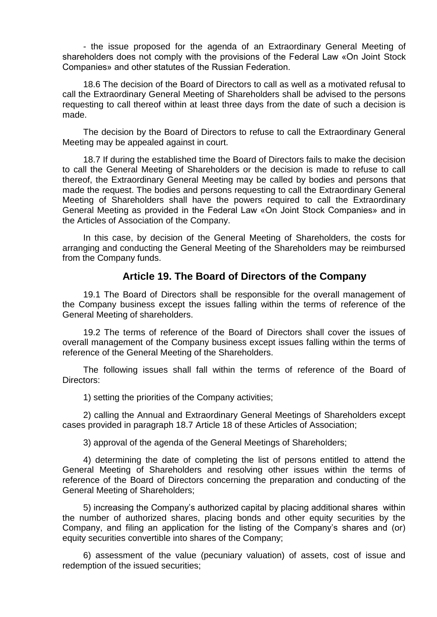- the issue proposed for the agenda of an Extraordinary General Meeting of shareholders does not comply with the provisions of the Federal Law «On Joint Stock Companies» and other statutes of the Russian Federation.

18.6 The decision of the Board of Directors to call as well as a motivated refusal to call the Extraordinary General Meeting of Shareholders shall be advised to the persons requesting to call thereof within at least three days from the date of such a decision is made.

The decision by the Board of Directors to refuse to call the Extraordinary General Meeting may be appealed against in court.

18.7 If during the established time the Board of Directors fails to make the decision to call the General Meeting of Shareholders or the decision is made to refuse to call thereof, the Extraordinary General Meeting may be called by bodies and persons that made the request. The bodies and persons requesting to call the Extraordinary General Meeting of Shareholders shall have the powers required to call the Extraordinary General Meeting as provided in the Federal Law «On Joint Stock Companies» and in the Articles of Association of the Company.

In this case, by decision of the General Meeting of Shareholders, the costs for arranging and conducting the General Meeting of the Shareholders may be reimbursed from the Company funds.

#### **Article 19. The Board of Directors of the Company**

19.1 The Board of Directors shall be responsible for the overall management of the Company business except the issues falling within the terms of reference of the General Meeting of shareholders.

19.2 The terms of reference of the Board of Directors shall cover the issues of overall management of the Company business except issues falling within the terms of reference of the General Meeting of the Shareholders.

The following issues shall fall within the terms of reference of the Board of Directors:

1) setting the priorities of the Company activities;

2) calling the Annual and Extraordinary General Meetings of Shareholders except cases provided in paragraph 18.7 Article 18 of these Articles of Association;

3) approval of the agenda of the General Meetings of Shareholders;

4) determining the date of completing the list of persons entitled to attend the General Meeting of Shareholders and resolving other issues within the terms of reference of the Board of Directors concerning the preparation and conducting of the General Meeting of Shareholders;

5) increasing the Company's authorized capital by placing additional shares within the number of authorized shares, placing bonds and other equity securities by the Company, and filing an application for the listing of the Company's shares and (or) equity securities convertible into shares of the Company;

6) assessment of the value (pecuniary valuation) of assets, cost of issue and redemption of the issued securities;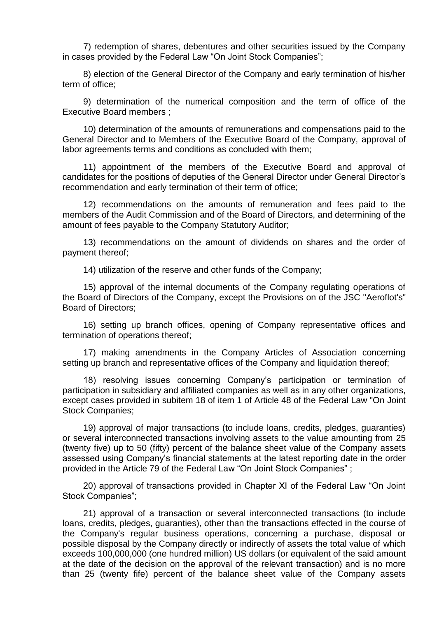7) redemption of shares, debentures and other securities issued by the Company in cases provided by the Federal Law "On Joint Stock Companies";

8) election of the General Director of the Company and early termination of his/her term of office;

9) determination of the numerical composition and the term of office of the Executive Board members ;

10) determination of the amounts of remunerations and compensations paid to the General Director and to Members of the Executive Board of the Company, approval of labor agreements terms and conditions as concluded with them;

11) appointment of the members of the Executive Board and approval of candidates for the positions of deputies of the General Director under General Director's recommendation and early termination of their term of office;

12) recommendations on the amounts of remuneration and fees paid to the members of the Audit Commission and of the Board of Directors, and determining of the amount of fees payable to the Company Statutory Auditor;

13) recommendations on the amount of dividends on shares and the order of payment thereof;

14) utilization of the reserve and other funds of the Company;

15) approval of the internal documents of the Company regulating operations of the Board of Directors of the Company, except the Provisions on of the JSC "Aeroflot's" Board of Directors;

16) setting up branch offices, opening of Company representative offices and termination of operations thereof;

17) making amendments in the Company Articles of Association concerning setting up branch and representative offices of the Company and liquidation thereof;

18) resolving issues concerning Company's participation or termination of participation in subsidiary and affiliated companies as well as in any other organizations, except cases provided in subitem 18 of item 1 of Article 48 of the Federal Law "On Joint Stock Companies;

19) approval of major transactions (to include loans, credits, pledges, guaranties) or several interconnected transactions involving assets to the value amounting from 25 (twenty five) up to 50 (fifty) percent of the balance sheet value of the Company assets assessed using Company's financial statements at the latest reporting date in the order provided in the Article 79 of the Federal Law "On Joint Stock Companies" ;

20) approval of transactions provided in Chapter XI of the Federal Law "On Joint Stock Companies";

21) approval of a transaction or several interconnected transactions (to include loans, credits, pledges, guaranties), other than the transactions effected in the course of the Company's regular business operations, concerning a purchase, disposal or possible disposal by the Company directly or indirectly of assets the total value of which exceeds 100,000,000 (one hundred million) US dollars (or equivalent of the said amount at the date of the decision on the approval of the relevant transaction) and is no more than 25 (twenty fife) percent of the balance sheet value of the Company assets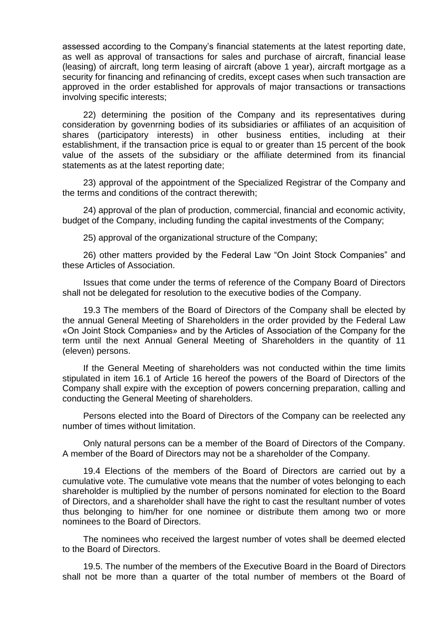assessed according to the Company's financial statements at the latest reporting date, as well as approval of transactions for sales and purchase of aircraft, financial lease (leasing) of aircraft, long term leasing of aircraft (above 1 year), aircraft mortgage as a security for financing and refinancing of credits, except cases when such transaction are approved in the order established for approvals of major transactions or transactions involving specific interests;

22) determining the position of the Company and its representatives during consideration by govenrning bodies of its subsidiaries or affiliates of an acquisition of shares (participatory interests) in other business entities, including at their establishment, if the transaction price is equal to or greater than 15 percent of the book value of the assets of the subsidiary or the affiliate determined from its financial statements as at the latest reporting date;

23) approval of the appointment of the Specialized Registrar of the Company and the terms and conditions of the contract therewith;

24) approval of the plan of production, commercial, financial and economic activity, budget of the Company, including funding the capital investments of the Company;

25) approval of the organizational structure of the Company;

26) other matters provided by the Federal Law "On Joint Stock Companies" and these Articles of Association.

Issues that come under the terms of reference of the Company Board of Directors shall not be delegated for resolution to the executive bodies of the Company.

19.3 The members of the Board of Directors of the Company shall be elected by the annual General Meeting of Shareholders in the order provided by the Federal Law «On Joint Stock Companies» and by the Articles of Association of the Company for the term until the next Annual General Meeting of Shareholders in the quantity of 11 (eleven) persons.

If the General Meeting of shareholders was not conducted within the time limits stipulated in item 16.1 of Article 16 hereof the powers of the Board of Directors of the Company shall expire with the exception of powers concerning preparation, calling and conducting the General Meeting of shareholders.

Persons elected into the Board of Directors of the Company can be reelected any number of times without limitation.

Only natural persons can be a member of the Board of Directors of the Company. A member of the Board of Directors may not be a shareholder of the Company.

19.4 Elections of the members of the Board of Directors are carried out by a cumulative vote. The cumulative vote means that the number of votes belonging to each shareholder is multiplied by the number of persons nominated for election to the Board of Directors, and a shareholder shall have the right to cast the resultant number of votes thus belonging to him/her for one nominee or distribute them among two or more nominees to the Board of Directors.

The nominees who received the largest number of votes shall be deemed elected to the Board of Directors.

19.5. The number of the members of the Executive Board in the Board of Directors shall not be more than a quarter of the total number of members ot the Board of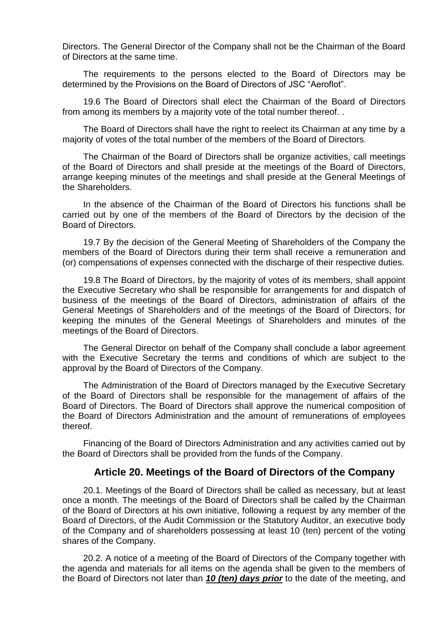Directors. The General Director of the Company shall not be the Chairman of the Board of Directors at the same time.

The requirements to the persons elected to the Board of Directors may be determined by the Provisions on the Board of Directors of JSC "Aeroflot".

19.6 The Board of Directors shall elect the Chairman of the Board of Directors from among its members by a majority vote of the total number thereof. .

The Board of Directors shall have the right to reelect its Chairman at any time by a majority of votes of the total number of the members of the Board of Directors.

The Chairman of the Board of Directors shall be organize activities, call meetings of the Board of Directors and shall preside at the meetings of the Board of Directors, arrange keeping minutes of the meetings and shall preside at the General Meetings of the Shareholders.

In the absence of the Chairman of the Board of Directors his functions shall be carried out by one of the members of the Board of Directors by the decision of the Board of Directors.

19.7 By the decision of the General Meeting of Shareholders of the Company the members of the Board of Directors during their term shall receive a remuneration and (or) compensations of expenses connected with the discharge of their respective duties.

19.8 The Board of Directors, by the majority of votes of its members, shall appoint the Executive Secretary who shall be responsible for arrangements for and dispatch of business of the meetings of the Board of Directors, administration of affairs of the General Meetings of Shareholders and of the meetings of the Board of Directors, for keeping the minutes of the General Meetings of Shareholders and minutes of the meetings of the Board of Directors.

The General Director on behalf of the Company shall conclude a labor agreement with the Executive Secretary the terms and conditions of which are subject to the approval by the Board of Directors of the Company.

The Administration of the Board of Directors managed by the Executive Secretary of the Board of Directors shall be responsible for the management of affairs of the Board of Directors. The Board of Directors shall approve the numerical composition of the Board of Directors Administration and the amount of remunerations of employees thereof.

Financing of the Board of Directors Administration and any activities carried out by the Board of Directors shall be provided from the funds of the Company.

#### **Article 20. Meetings of the Board of Directors of the Company**

20.1. Meetings of the Board of Directors shall be called as necessary, but at least once a month. The meetings of the Board of Directors shall be called by the Chairman of the Board of Directors at his own initiative, following a request by any member of the Board of Directors, of the Audit Commission or the Statutory Auditor, an executive body of the Company and of shareholders possessing at least 10 (ten) percent of the voting shares of the Company.

20.2. A notice of a meeting of the Board of Directors of the Company together with the agenda and materials for all items on the agenda shall be given to the members of the Board of Directors not later than *10 (ten) days prior* to the date of the meeting, and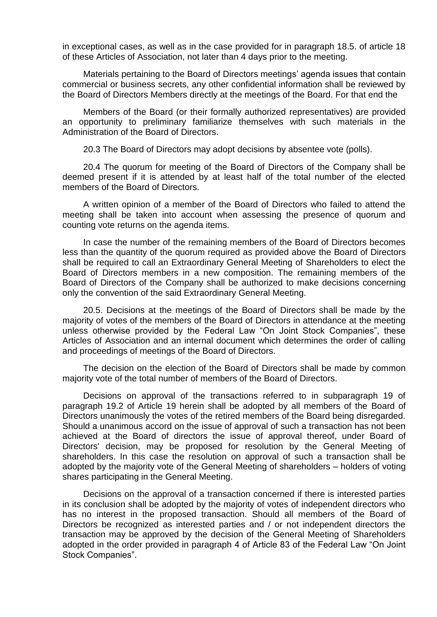in exceptional cases, as well as in the case provided for in paragraph 18.5. of article 18 of these Articles of Association, not later than 4 days prior to the meeting.

Materials pertaining to the Board of Directors meetings' agenda issues that contain commercial or business secrets, any other confidential information shall be reviewed by the Board of Directors Members directly at the meetings of the Board. For that end the

Members of the Board (or their formally authorized representatives) are provided an opportunity to preliminary familiarize themselves with such materials in the Administration of the Board of Directors.

20.3 The Board of Directors may adopt decisions by absentee vote (polls).

20.4 The quorum for meeting of the Board of Directors of the Company shall be deemed present if it is attended by at least half of the total number of the elected members of the Board of Directors.

A written opinion of a member of the Board of Directors who failed to attend the meeting shall be taken into account when assessing the presence of quorum and counting vote returns on the agenda items.

In case the number of the remaining members of the Board of Directors becomes less than the quantity of the quorum required as provided above the Board of Directors shall be required to call an Extraordinary General Meeting of Shareholders to elect the Board of Directors members in a new composition. The remaining members of the Board of Directors of the Company shall be authorized to make decisions concerning only the convention of the said Extraordinary General Meeting.

20.5. Decisions at the meetings of the Board of Directors shall be made by the majority of votes of the members of the Board of Directors in attendance at the meeting unless otherwise provided by the Federal Law "On Joint Stock Companies", these Articles of Association and an internal document which determines the order of calling and proceedings of meetings of the Board of Directors.

The decision on the election of the Board of Directors shall be made by common majority vote of the total number of members of the Board of Directors.

Decisions on approval of the transactions referred to in subparagraph 19 of paragraph 19.2 of Article 19 herein shall be adopted by all members of the Board of Directors unanimously the votes of the retired members of the Board being disregarded. Should a unanimous accord on the issue of approval of such a transaction has not been achieved at the Board of directors the issue of approval thereof, under Board of Directors' decision, may be proposed for resolution by the General Meeting of shareholders. In this case the resolution on approval of such a transaction shall be adopted by the majority vote of the General Meeting of shareholders – holders of voting shares participating in the General Meeting.

Decisions on the approval of a transaction concerned if there is interested parties in its conclusion shall be adopted by the majority of votes of independent directors who has no interest in the proposed transaction. Should all members of the Board of Directors be recognized as interested parties and / or not independent directors the transaction may be approved by the decision of the General Meeting of Shareholders adopted in the order provided in paragraph 4 of Article 83 of the Federal Law "On Joint Stock Companies".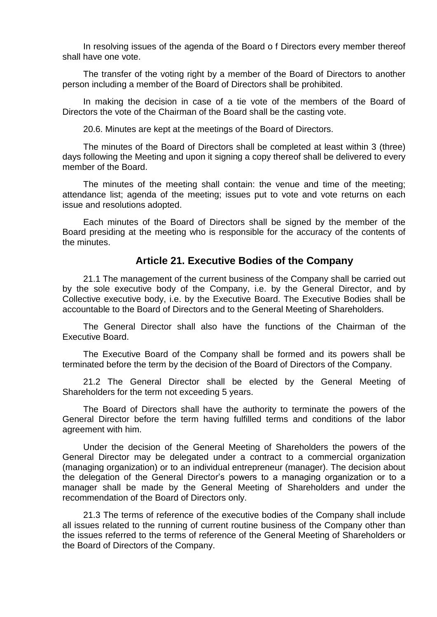In resolving issues of the agenda of the Board o f Directors every member thereof shall have one vote.

The transfer of the voting right by a member of the Board of Directors to another person including a member of the Board of Directors shall be prohibited.

In making the decision in case of a tie vote of the members of the Board of Directors the vote of the Chairman of the Board shall be the casting vote.

20.6. Minutes are kept at the meetings of the Board of Directors.

The minutes of the Board of Directors shall be completed at least within 3 (three) days following the Meeting and upon it signing a copy thereof shall be delivered to every member of the Board.

The minutes of the meeting shall contain: the venue and time of the meeting; attendance list; agenda of the meeting; issues put to vote and vote returns on each issue and resolutions adopted.

Each minutes of the Board of Directors shall be signed by the member of the Board presiding at the meeting who is responsible for the accuracy of the contents of the minutes.

#### **Article 21. Executive Bodies of the Company**

21.1 The management of the current business of the Company shall be carried out by the sole executive body of the Company, i.e. by the General Director, and by Collective executive body, i.e. by the Executive Board. The Executive Bodies shall be accountable to the Board of Directors and to the General Meeting of Shareholders.

The General Director shall also have the functions of the Chairman of the Executive Board.

The Executive Board of the Company shall be formed and its powers shall be terminated before the term by the decision of the Board of Directors of the Company.

21.2 The General Director shall be elected by the General Meeting of Shareholders for the term not exceeding 5 years.

The Board of Directors shall have the authority to terminate the powers of the General Director before the term having fulfilled terms and conditions of the labor agreement with him.

Under the decision of the General Meeting of Shareholders the powers of the General Director may be delegated under a contract to a commercial organization (managing organization) or to an individual entrepreneur (manager). The decision about the delegation of the General Director's powers to a managing organization or to a manager shall be made by the General Meeting of Shareholders and under the recommendation of the Board of Directors only.

21.3 The terms of reference of the executive bodies of the Company shall include all issues related to the running of current routine business of the Company other than the issues referred to the terms of reference of the General Meeting of Shareholders or the Board of Directors of the Company.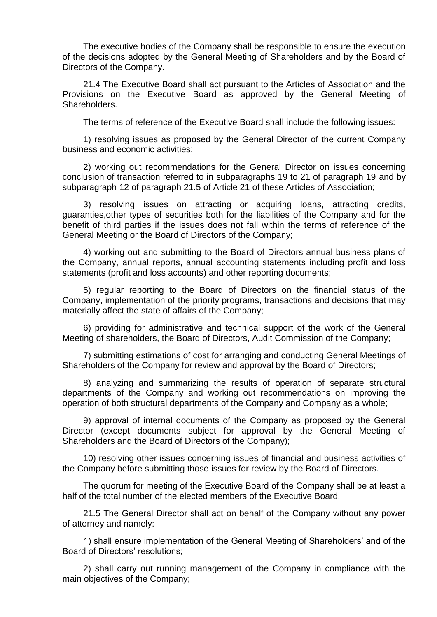The executive bodies of the Company shall be responsible to ensure the execution of the decisions adopted by the General Meeting of Shareholders and by the Board of Directors of the Company.

21.4 The Executive Board shall act pursuant to the Articles of Association and the Provisions on the Executive Board as approved by the General Meeting of Shareholders.

The terms of reference of the Executive Board shall include the following issues:

1) resolving issues as proposed by the General Director of the current Company business and economic activities;

2) working out recommendations for the General Director on issues concerning conclusion of transaction referred to in subparagraphs 19 to 21 of paragraph 19 and by subparagraph 12 of paragraph 21.5 of Article 21 of these Articles of Association;

3) resolving issues on attracting or acquiring loans, attracting credits, guaranties,other types of securities both for the liabilities of the Company and for the benefit of third parties if the issues does not fall within the terms of reference of the General Meeting or the Board of Directors of the Company;

4) working out and submitting to the Board of Directors annual business plans of the Company, annual reports, annual accounting statements including profit and loss statements (profit and loss accounts) and other reporting documents;

5) regular reporting to the Board of Directors on the financial status of the Company, implementation of the priority programs, transactions and decisions that may materially affect the state of affairs of the Company;

6) providing for administrative and technical support of the work of the General Meeting of shareholders, the Board of Directors, Audit Commission of the Company;

7) submitting estimations of cost for arranging and conducting General Meetings of Shareholders of the Company for review and approval by the Board of Directors;

8) analyzing and summarizing the results of operation of separate structural departments of the Company and working out recommendations on improving the operation of both structural departments of the Company and Company as a whole;

9) approval of internal documents of the Company as proposed by the General Director (except documents subject for approval by the General Meeting of Shareholders and the Board of Directors of the Company);

10) resolving other issues concerning issues of financial and business activities of the Company before submitting those issues for review by the Board of Directors.

The quorum for meeting of the Executive Board of the Company shall be at least a half of the total number of the elected members of the Executive Board.

21.5 The General Director shall act on behalf of the Company without any power of attorney and namely:

1) shall ensure implementation of the General Meeting of Shareholders' and of the Board of Directors' resolutions;

2) shall carry out running management of the Company in compliance with the main objectives of the Company;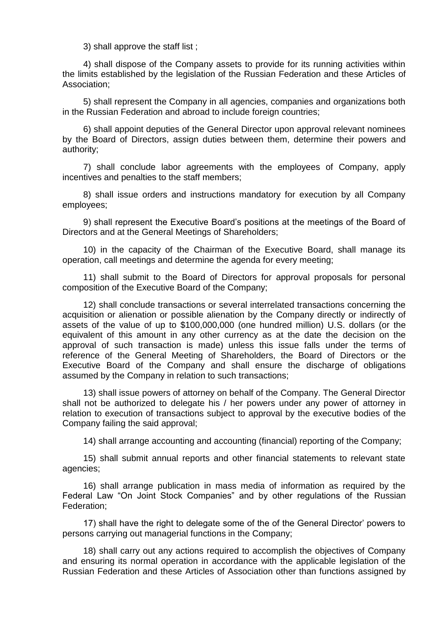3) shall approve the staff list ;

4) shall dispose of the Company assets to provide for its running activities within the limits established by the legislation of the Russian Federation and these Articles of Association;

5) shall represent the Company in all agencies, companies and organizations both in the Russian Federation and abroad to include foreign countries;

6) shall appoint deputies of the General Director upon approval relevant nominees by the Board of Directors, assign duties between them, determine their powers and authority;

7) shall conclude labor agreements with the employees of Company, apply incentives and penalties to the staff members;

8) shall issue orders and instructions mandatory for execution by all Company employees;

9) shall represent the Executive Board's positions at the meetings of the Board of Directors and at the General Meetings of Shareholders;

10) in the capacity of the Chairman of the Executive Board, shall manage its operation, call meetings and determine the agenda for every meeting;

11) shall submit to the Board of Directors for approval proposals for personal composition of the Executive Board of the Company;

12) shall conclude transactions or several interrelated transactions concerning the acquisition or alienation or possible alienation by the Company directly or indirectly of assets of the value of up to \$100,000,000 (one hundred million) U.S. dollars (or the equivalent of this amount in any other currency as at the date the decision on the approval of such transaction is made) unless this issue falls under the terms of reference of the General Meeting of Shareholders, the Board of Directors or the Executive Board of the Company and shall ensure the discharge of obligations assumed by the Company in relation to such transactions;

13) shall issue powers of attorney on behalf of the Company. The General Director shall not be authorized to delegate his / her powers under any power of attorney in relation to execution of transactions subject to approval by the executive bodies of the Company failing the said approval;

14) shall arrange accounting and accounting (financial) reporting of the Company;

15) shall submit annual reports and other financial statements to relevant state agencies;

16) shall arrange publication in mass media of information as required by the Federal Law "On Joint Stock Companies" and by other regulations of the Russian Federation;

17) shall have the right to delegate some of the of the General Director' powers to persons carrying out managerial functions in the Company;

18) shall carry out any actions required to accomplish the objectives of Company and ensuring its normal operation in accordance with the applicable legislation of the Russian Federation and these Articles of Association other than functions assigned by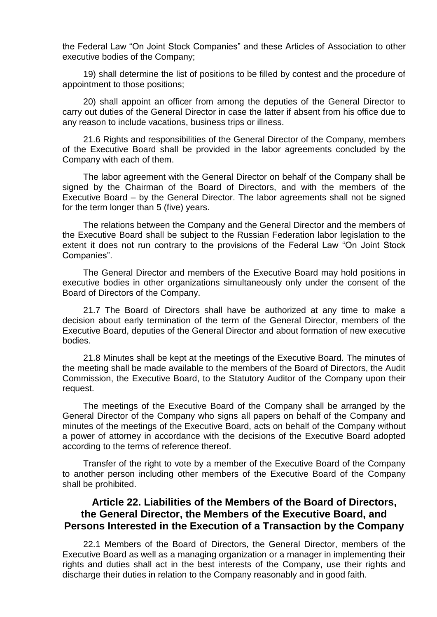the Federal Law "On Joint Stock Companies" and these Articles of Association to other executive bodies of the Company;

19) shall determine the list of positions to be filled by contest and the procedure of appointment to those positions;

20) shall appoint an officer from among the deputies of the General Director to carry out duties of the General Director in case the latter if absent from his office due to any reason to include vacations, business trips or illness.

21.6 Rights and responsibilities of the General Director of the Company, members of the Executive Board shall be provided in the labor agreements concluded by the Company with each of them.

The labor agreement with the General Director on behalf of the Company shall be signed by the Chairman of the Board of Directors, and with the members of the Executive Board – by the General Director. The labor agreements shall not be signed for the term longer than 5 (five) years.

The relations between the Company and the General Director and the members of the Executive Board shall be subject to the Russian Federation labor legislation to the extent it does not run contrary to the provisions of the Federal Law "On Joint Stock Companies".

The General Director and members of the Executive Board may hold positions in executive bodies in other organizations simultaneously only under the consent of the Board of Directors of the Company.

21.7 The Board of Directors shall have be authorized at any time to make a decision about early termination of the term of the General Director, members of the Executive Board, deputies of the General Director and about formation of new executive bodies.

21.8 Minutes shall be kept at the meetings of the Executive Board. The minutes of the meeting shall be made available to the members of the Board of Directors, the Audit Commission, the Executive Board, to the Statutory Auditor of the Company upon their request.

The meetings of the Executive Board of the Company shall be arranged by the General Director of the Company who signs all papers on behalf of the Company and minutes of the meetings of the Executive Board, acts on behalf of the Company without a power of attorney in accordance with the decisions of the Executive Board adopted according to the terms of reference thereof.

Transfer of the right to vote by a member of the Executive Board of the Company to another person including other members of the Executive Board of the Company shall be prohibited.

# **Article 22. Liabilities of the Members of the Board of Directors, the General Director, the Members of the Executive Board, and Persons Interested in the Execution of a Transaction by the Company**

22.1 Members of the Board of Directors, the General Director, members of the Executive Board as well as a managing organization or a manager in implementing their rights and duties shall act in the best interests of the Company, use their rights and discharge their duties in relation to the Company reasonably and in good faith.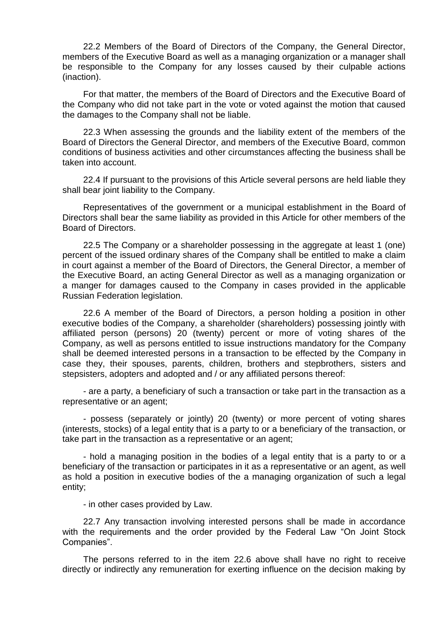22.2 Members of the Board of Directors of the Company, the General Director, members of the Executive Board as well as a managing organization or a manager shall be responsible to the Company for any losses caused by their culpable actions (inaction).

For that matter, the members of the Board of Directors and the Executive Board of the Company who did not take part in the vote or voted against the motion that caused the damages to the Company shall not be liable.

22.3 When assessing the grounds and the liability extent of the members of the Board of Directors the General Director, and members of the Executive Board, common conditions of business activities and other circumstances affecting the business shall be taken into account.

22.4 If pursuant to the provisions of this Article several persons are held liable they shall bear joint liability to the Company.

Representatives of the government or a municipal establishment in the Board of Directors shall bear the same liability as provided in this Article for other members of the Board of Directors.

22.5 The Company or a shareholder possessing in the aggregate at least 1 (one) percent of the issued ordinary shares of the Company shall be entitled to make a claim in court against a member of the Board of Directors, the General Director, a member of the Executive Board, an acting General Director as well as a managing organization or a manger for damages caused to the Company in cases provided in the applicable Russian Federation legislation.

22.6 A member of the Board of Directors, a person holding a position in other executive bodies of the Company, a shareholder (shareholders) possessing jointly with affiliated person (persons) 20 (twenty) percent or more of voting shares of the Company, as well as persons entitled to issue instructions mandatory for the Company shall be deemed interested persons in a transaction to be effected by the Company in case they, their spouses, parents, children, brothers and stepbrothers, sisters and stepsisters, adopters and adopted and / or any affiliated persons thereof:

- are a party, a beneficiary of such a transaction or take part in the transaction as a representative or an agent;

- possess (separately or jointly) 20 (twenty) or more percent of voting shares (interests, stocks) of a legal entity that is a party to or a beneficiary of the transaction, or take part in the transaction as a representative or an agent;

- hold a managing position in the bodies of a legal entity that is a party to or a beneficiary of the transaction or participates in it as a representative or an agent, as well as hold a position in executive bodies of the a managing organization of such a legal entity;

- in other cases provided by Law.

22.7 Any transaction involving interested persons shall be made in accordance with the requirements and the order provided by the Federal Law "On Joint Stock Companies".

The persons referred to in the item 22.6 above shall have no right to receive directly or indirectly any remuneration for exerting influence on the decision making by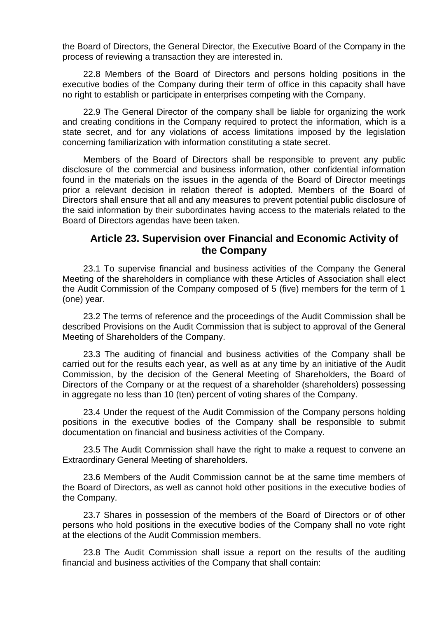the Board of Directors, the General Director, the Executive Board of the Company in the process of reviewing a transaction they are interested in.

22.8 Members of the Board of Directors and persons holding positions in the executive bodies of the Company during their term of office in this capacity shall have no right to establish or participate in enterprises competing with the Company.

22.9 The General Director of the company shall be liable for organizing the work and creating conditions in the Company required to protect the information, which is a state secret, and for any violations of access limitations imposed by the legislation concerning familiarization with information constituting a state secret.

Members of the Board of Directors shall be responsible to prevent any public disclosure of the commercial and business information, other confidential information found in the materials on the issues in the agenda of the Board of Director meetings prior a relevant decision in relation thereof is adopted. Members of the Board of Directors shall ensure that all and any measures to prevent potential public disclosure of the said information by their subordinates having access to the materials related to the Board of Directors agendas have been taken.

#### **Article 23. Supervision over Financial and Economic Activity of the Company**

23.1 To supervise financial and business activities of the Company the General Meeting of the shareholders in compliance with these Articles of Association shall elect the Audit Commission of the Company composed of 5 (five) members for the term of 1 (one) year.

23.2 The terms of reference and the proceedings of the Audit Commission shall be described Provisions on the Audit Commission that is subject to approval of the General Meeting of Shareholders of the Company.

23.3 The auditing of financial and business activities of the Company shall be carried out for the results each year, as well as at any time by an initiative of the Audit Commission, by the decision of the General Meeting of Shareholders, the Board of Directors of the Company or at the request of a shareholder (shareholders) possessing in aggregate no less than 10 (ten) percent of voting shares of the Company.

23.4 Under the request of the Audit Commission of the Company persons holding positions in the executive bodies of the Company shall be responsible to submit documentation on financial and business activities of the Company.

23.5 The Audit Commission shall have the right to make a request to convene an Extraordinary General Meeting of shareholders.

23.6 Members of the Audit Commission cannot be at the same time members of the Board of Directors, as well as cannot hold other positions in the executive bodies of the Company.

23.7 Shares in possession of the members of the Board of Directors or of other persons who hold positions in the executive bodies of the Company shall no vote right at the elections of the Audit Commission members.

23.8 The Audit Commission shall issue a report on the results of the auditing financial and business activities of the Company that shall contain: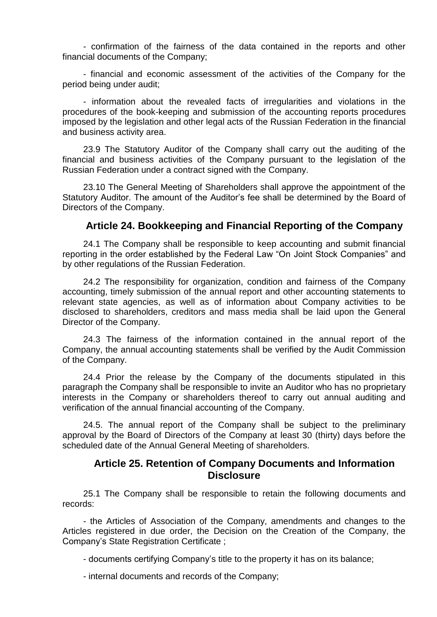- confirmation of the fairness of the data contained in the reports and other financial documents of the Company;

- financial and economic assessment of the activities of the Company for the period being under audit;

- information about the revealed facts of irregularities and violations in the procedures of the book-keeping and submission of the accounting reports procedures imposed by the legislation and other legal acts of the Russian Federation in the financial and business activity area.

23.9 The Statutory Auditor of the Company shall carry out the auditing of the financial and business activities of the Company pursuant to the legislation of the Russian Federation under a contract signed with the Company.

23.10 The General Meeting of Shareholders shall approve the appointment of the Statutory Auditor. The amount of the Auditor's fee shall be determined by the Board of Directors of the Company.

#### **Article 24. Bookkeeping and Financial Reporting of the Company**

24.1 The Company shall be responsible to keep accounting and submit financial reporting in the order established by the Federal Law "On Joint Stock Companies" and by other regulations of the Russian Federation.

24.2 The responsibility for organization, condition and fairness of the Company accounting, timely submission of the annual report and other accounting statements to relevant state agencies, as well as of information about Company activities to be disclosed to shareholders, creditors and mass media shall be laid upon the General Director of the Company.

24.3 The fairness of the information contained in the annual report of the Company, the annual accounting statements shall be verified by the Audit Commission of the Company.

24.4 Prior the release by the Company of the documents stipulated in this paragraph the Company shall be responsible to invite an Auditor who has no proprietary interests in the Company or shareholders thereof to carry out annual auditing and verification of the annual financial accounting of the Company.

24.5. The annual report of the Company shall be subject to the preliminary approval by the Board of Directors of the Company at least 30 (thirty) days before the scheduled date of the Annual General Meeting of shareholders.

#### **Article 25. Retention of Company Documents and Information Disclosure**

25.1 The Company shall be responsible to retain the following documents and records:

- the Articles of Association of the Company, amendments and changes to the Articles registered in due order, the Decision on the Creation of the Company, the Company's State Registration Certificate ;

- documents certifying Company's title to the property it has on its balance;

- internal documents and records of the Company;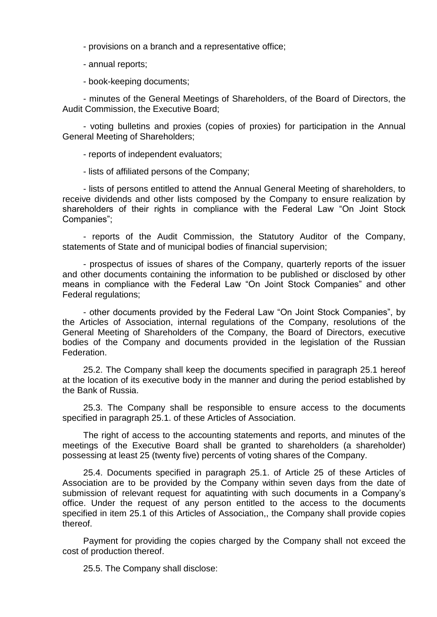- provisions on a branch and a representative office;
- annual reports;
- book-keeping documents;

- minutes of the General Meetings of Shareholders, of the Board of Directors, the Audit Commission, the Executive Board;

- voting bulletins and proxies (copies of proxies) for participation in the Annual General Meeting of Shareholders;

- reports of independent evaluators;

- lists of affiliated persons of the Company;

- lists of persons entitled to attend the Annual General Meeting of shareholders, to receive dividends and other lists composed by the Company to ensure realization by shareholders of their rights in compliance with the Federal Law "On Joint Stock Companies";

- reports of the Audit Commission, the Statutory Auditor of the Company, statements of State and of municipal bodies of financial supervision;

- prospectus of issues of shares of the Company, quarterly reports of the issuer and other documents containing the information to be published or disclosed by other means in compliance with the Federal Law "On Joint Stock Companies" and other Federal regulations;

- other documents provided by the Federal Law "On Joint Stock Companies", by the Articles of Association, internal regulations of the Company, resolutions of the General Meeting of Shareholders of the Company, the Board of Directors, executive bodies of the Company and documents provided in the legislation of the Russian Federation.

25.2. The Company shall keep the documents specified in paragraph 25.1 hereof at the location of its executive body in the manner and during the period established by the Bank of Russia.

25.3. The Company shall be responsible to ensure access to the documents specified in paragraph 25.1. of these Articles of Association.

The right of access to the accounting statements and reports, and minutes of the meetings of the Executive Board shall be granted to shareholders (a shareholder) possessing at least 25 (twenty five) percents of voting shares of the Company.

25.4. Documents specified in paragraph 25.1. of Article 25 of these Articles of Association are to be provided by the Company within seven days from the date of submission of relevant request for aquatinting with such documents in a Company's office. Under the request of any person entitled to the access to the documents specified in item 25.1 of this Articles of Association,, the Company shall provide copies thereof.

Payment for providing the copies charged by the Company shall not exceed the cost of production thereof.

25.5. The Company shall disclose: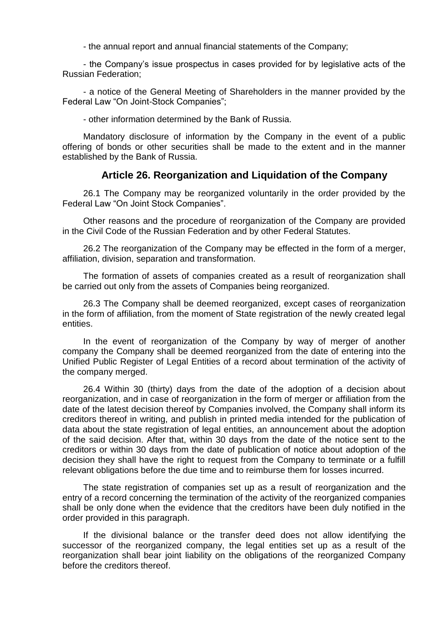- the annual report and annual financial statements of the Company;

- the Company's issue prospectus in cases provided for by legislative acts of the Russian Federation;

- a notice of the General Meeting of Shareholders in the manner provided by the Federal Law "On Joint-Stock Companies";

- other information determined by the Bank of Russia.

Mandatory disclosure of information by the Company in the event of a public offering of bonds or other securities shall be made to the extent and in the manner established by the Bank of Russia.

# **Article 26. Reorganization and Liquidation of the Company**

26.1 The Company may be reorganized voluntarily in the order provided by the Federal Law "On Joint Stock Companies".

Other reasons and the procedure of reorganization of the Company are provided in the Civil Code of the Russian Federation and by other Federal Statutes.

26.2 The reorganization of the Company may be effected in the form of a merger, affiliation, division, separation and transformation.

The formation of assets of companies created as a result of reorganization shall be carried out only from the assets of Companies being reorganized.

26.3 The Company shall be deemed reorganized, except cases of reorganization in the form of affiliation, from the moment of State registration of the newly created legal entities.

In the event of reorganization of the Company by way of merger of another company the Company shall be deemed reorganized from the date of entering into the Unified Public Register of Legal Entities of a record about termination of the activity of the company merged.

26.4 Within 30 (thirty) days from the date of the adoption of a decision about reorganization, and in case of reorganization in the form of merger or affiliation from the date of the latest decision thereof by Companies involved, the Company shall inform its creditors thereof in writing, and publish in printed media intended for the publication of data about the state registration of legal entities, an announcement about the adoption of the said decision. After that, within 30 days from the date of the notice sent to the creditors or within 30 days from the date of publication of notice about adoption of the decision they shall have the right to request from the Company to terminate or a fulfill relevant obligations before the due time and to reimburse them for losses incurred.

The state registration of companies set up as a result of reorganization and the entry of a record concerning the termination of the activity of the reorganized companies shall be only done when the evidence that the creditors have been duly notified in the order provided in this paragraph.

If the divisional balance or the transfer deed does not allow identifying the successor of the reorganized company, the legal entities set up as a result of the reorganization shall bear joint liability on the obligations of the reorganized Company before the creditors thereof.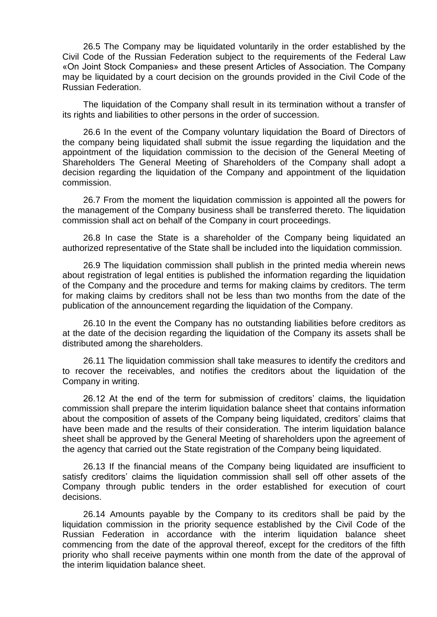26.5 The Company may be liquidated voluntarily in the order established by the Civil Code of the Russian Federation subject to the requirements of the Federal Law «On Joint Stock Companies» and these present Articles of Association. The Company may be liquidated by a court decision on the grounds provided in the Civil Code of the Russian Federation.

The liquidation of the Company shall result in its termination without a transfer of its rights and liabilities to other persons in the order of succession.

26.6 In the event of the Company voluntary liquidation the Board of Directors of the company being liquidated shall submit the issue regarding the liquidation and the appointment of the liquidation commission to the decision of the General Meeting of Shareholders The General Meeting of Shareholders of the Company shall adopt a decision regarding the liquidation of the Company and appointment of the liquidation commission.

26.7 From the moment the liquidation commission is appointed all the powers for the management of the Company business shall be transferred thereto. The liquidation commission shall act on behalf of the Company in court proceedings.

26.8 In case the State is a shareholder of the Company being liquidated an authorized representative of the State shall be included into the liquidation commission.

26.9 The liquidation commission shall publish in the printed media wherein news about registration of legal entities is published the information regarding the liquidation of the Company and the procedure and terms for making claims by creditors. The term for making claims by creditors shall not be less than two months from the date of the publication of the announcement regarding the liquidation of the Company.

26.10 In the event the Company has no outstanding liabilities before creditors as at the date of the decision regarding the liquidation of the Company its assets shall be distributed among the shareholders.

26.11 The liquidation commission shall take measures to identify the creditors and to recover the receivables, and notifies the creditors about the liquidation of the Company in writing.

26.12 At the end of the term for submission of creditors' claims, the liquidation commission shall prepare the interim liquidation balance sheet that contains information about the composition of assets of the Company being liquidated, creditors' claims that have been made and the results of their consideration. The interim liquidation balance sheet shall be approved by the General Meeting of shareholders upon the agreement of the agency that carried out the State registration of the Company being liquidated.

26.13 If the financial means of the Company being liquidated are insufficient to satisfy creditors' claims the liquidation commission shall sell off other assets of the Company through public tenders in the order established for execution of court decisions.

26.14 Amounts payable by the Company to its creditors shall be paid by the liquidation commission in the priority sequence established by the Civil Code of the Russian Federation in accordance with the interim liquidation balance sheet commencing from the date of the approval thereof, except for the creditors of the fifth priority who shall receive payments within one month from the date of the approval of the interim liquidation balance sheet.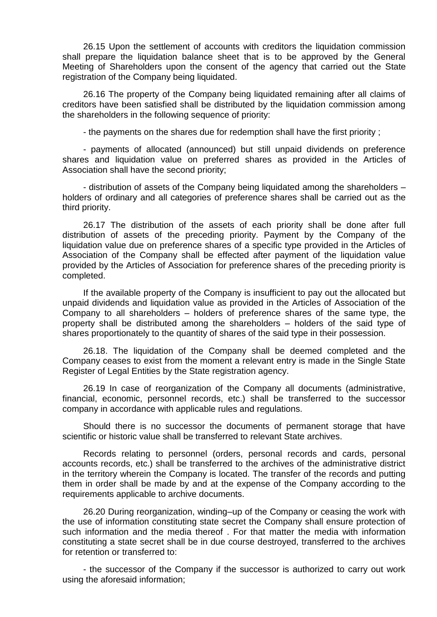26.15 Upon the settlement of accounts with creditors the liquidation commission shall prepare the liquidation balance sheet that is to be approved by the General Meeting of Shareholders upon the consent of the agency that carried out the State registration of the Company being liquidated.

26.16 The property of the Company being liquidated remaining after all claims of creditors have been satisfied shall be distributed by the liquidation commission among the shareholders in the following sequence of priority:

- the payments on the shares due for redemption shall have the first priority ;

- payments of allocated (announced) but still unpaid dividends on preference shares and liquidation value on preferred shares as provided in the Articles of Association shall have the second priority;

- distribution of assets of the Company being liquidated among the shareholders – holders of ordinary and all categories of preference shares shall be carried out as the third priority.

26.17 The distribution of the assets of each priority shall be done after full distribution of assets of the preceding priority. Payment by the Company of the liquidation value due on preference shares of a specific type provided in the Articles of Association of the Company shall be effected after payment of the liquidation value provided by the Articles of Association for preference shares of the preceding priority is completed.

If the available property of the Company is insufficient to pay out the allocated but unpaid dividends and liquidation value as provided in the Articles of Association of the Company to all shareholders – holders of preference shares of the same type, the property shall be distributed among the shareholders – holders of the said type of shares proportionately to the quantity of shares of the said type in their possession.

26.18. The liquidation of the Company shall be deemed completed and the Company ceases to exist from the moment a relevant entry is made in the Single State Register of Legal Entities by the State registration agency.

26.19 In case of reorganization of the Company all documents (administrative, financial, economic, personnel records, etc.) shall be transferred to the successor company in accordance with applicable rules and regulations.

Should there is no successor the documents of permanent storage that have scientific or historic value shall be transferred to relevant State archives.

Records relating to personnel (orders, personal records and cards, personal accounts records, etc.) shall be transferred to the archives of the administrative district in the territory wherein the Company is located. The transfer of the records and putting them in order shall be made by and at the expense of the Company according to the requirements applicable to archive documents.

26.20 During reorganization, winding–up of the Company or ceasing the work with the use of information constituting state secret the Company shall ensure protection of such information and the media thereof . For that matter the media with information constituting a state secret shall be in due course destroyed, transferred to the archives for retention or transferred to:

- the successor of the Company if the successor is authorized to carry out work using the aforesaid information;